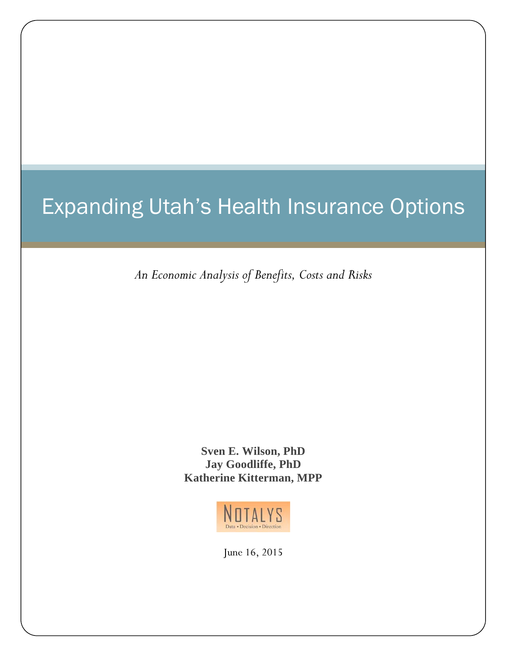# Expanding Utah's Health Insurance Options

*An Economic Analysis of Benefits, Costs and Risks*

**Sven E. Wilson, PhD Jay Goodliffe, PhD Katherine Kitterman, MPP** 



June 16, 2015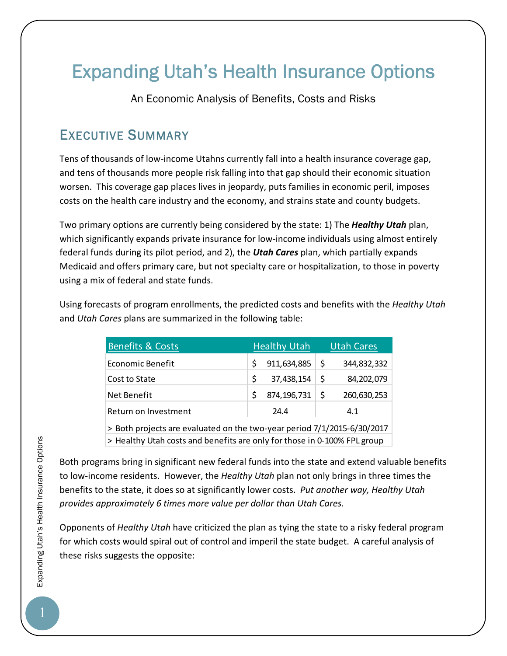# Expanding Utah's Health Insurance Options

An Economic Analysis of Benefits, Costs and Risks

# EXECUTIVE SUMMARY

Tens of thousands of low‐income Utahns currently fall into a health insurance coverage gap, and tens of thousands more people risk falling into that gap should their economic situation worsen. This coverage gap places lives in jeopardy, puts families in economic peril, imposes costs on the health care industry and the economy, and strains state and county budgets.

Two primary options are currently being considered by the state: 1) The *Healthy Utah* plan, which significantly expands private insurance for low-income individuals using almost entirely federal funds during its pilot period, and 2), the *Utah Cares* plan, which partially expands Medicaid and offers primary care, but not specialty care or hospitalization, to those in poverty using a mix of federal and state funds.

Using forecasts of program enrollments, the predicted costs and benefits with the *Healthy Utah* and *Utah Cares* plans are summarized in the following table:

| <b>Benefits &amp; Costs</b>                                                   | <b>Healthy Utah</b> | Utah Cares         |  |
|-------------------------------------------------------------------------------|---------------------|--------------------|--|
| Economic Benefit                                                              | 911,634,885         | \$<br>344,832,332  |  |
| Cost to State                                                                 | 37,438,154<br>Š.    | -S<br>84,202,079   |  |
| Net Benefit                                                                   | 874,196,731         | \$.<br>260,630,253 |  |
| Return on Investment                                                          | 24.4                | 4.1                |  |
| $>$ Roth projects are evaluated on the two-vear period $7/1/2015 - 6/30/2017$ |                     |                    |  |

cts are evaluated on the two-year period 7/1/2015-6/30/2017 > Healthy Utah costs and benefits are only for those in 0‐100% FPL group

Both programs bring in significant new federal funds into the state and extend valuable benefits to low‐income residents. However, the *Healthy Utah* plan not only brings in three times the benefits to the state, it does so at significantly lower costs. *Put another way, Healthy Utah provides approximately 6 times more value per dollar than Utah Cares.*

Opponents of *Healthy Utah* have criticized the plan as tying the state to a risky federal program for which costs would spiral out of control and imperil the state budget. A careful analysis of these risks suggests the opposite: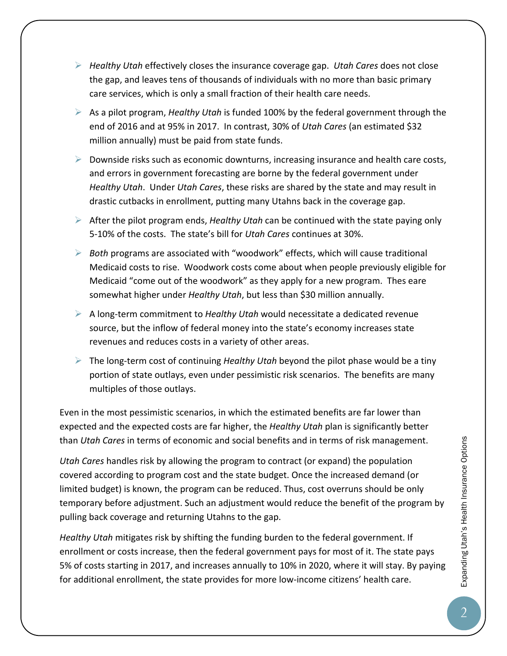- *Healthy Utah* effectively closes the insurance coverage gap. *Utah Cares* does not close the gap, and leaves tens of thousands of individuals with no more than basic primary care services, which is only a small fraction of their health care needs.
- As a pilot program, *Healthy Utah* is funded 100% by the federal government through the end of 2016 and at 95% in 2017. In contrast, 30% of *Utah Cares* (an estimated \$32 million annually) must be paid from state funds.
- $\triangleright$  Downside risks such as economic downturns, increasing insurance and health care costs, and errors in government forecasting are borne by the federal government under *Healthy Utah*. Under *Utah Cares*, these risks are shared by the state and may result in drastic cutbacks in enrollment, putting many Utahns back in the coverage gap.
- After the pilot program ends, *Healthy Utah* can be continued with the state paying only 5‐10% of the costs. The state's bill for *Utah Cares* continues at 30%.
- *Both* programs are associated with "woodwork" effects, which will cause traditional Medicaid costs to rise. Woodwork costs come about when people previously eligible for Medicaid "come out of the woodwork" as they apply for a new program. Thes eare somewhat higher under *Healthy Utah*, but less than \$30 million annually.
- A long‐term commitment to *Healthy Utah* would necessitate a dedicated revenue source, but the inflow of federal money into the state's economy increases state revenues and reduces costs in a variety of other areas.
- The long‐term cost of continuing *Healthy Utah* beyond the pilot phase would be a tiny portion of state outlays, even under pessimistic risk scenarios. The benefits are many multiples of those outlays.

Even in the most pessimistic scenarios, in which the estimated benefits are far lower than expected and the expected costs are far higher, the *Healthy Utah* plan is significantly better than *Utah Cares* in terms of economic and social benefits and in terms of risk management.

*Utah Cares* handles risk by allowing the program to contract (or expand) the population covered according to program cost and the state budget. Once the increased demand (or limited budget) is known, the program can be reduced. Thus, cost overruns should be only temporary before adjustment. Such an adjustment would reduce the benefit of the program by pulling back coverage and returning Utahns to the gap.

*Healthy Utah* mitigates risk by shifting the funding burden to the federal government. If enrollment or costs increase, then the federal government pays for most of it. The state pays 5% of costs starting in 2017, and increases annually to 10% in 2020, where it will stay. By paying for additional enrollment, the state provides for more low-income citizens' health care.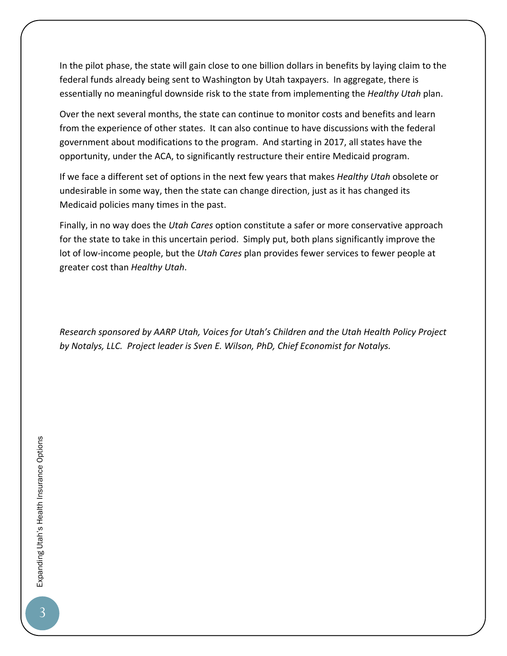In the pilot phase, the state will gain close to one billion dollars in benefits by laying claim to the federal funds already being sent to Washington by Utah taxpayers. In aggregate, there is essentially no meaningful downside risk to the state from implementing the *Healthy Utah* plan.

Over the next several months, the state can continue to monitor costs and benefits and learn from the experience of other states. It can also continue to have discussions with the federal government about modifications to the program. And starting in 2017, all states have the opportunity, under the ACA, to significantly restructure their entire Medicaid program.

If we face a different set of options in the next few years that makes *Healthy Utah* obsolete or undesirable in some way, then the state can change direction, just as it has changed its Medicaid policies many times in the past.

Finally, in no way does the *Utah Cares* option constitute a safer or more conservative approach for the state to take in this uncertain period. Simply put, both plans significantly improve the lot of low‐income people, but the *Utah Cares* plan provides fewer services to fewer people at greater cost than *Healthy Utah*.

*Research sponsored by AARP Utah, Voices for Utah's Children and the Utah Health Policy Project by Notalys, LLC. Project leader is Sven E. Wilson, PhD, Chief Economist for Notalys.*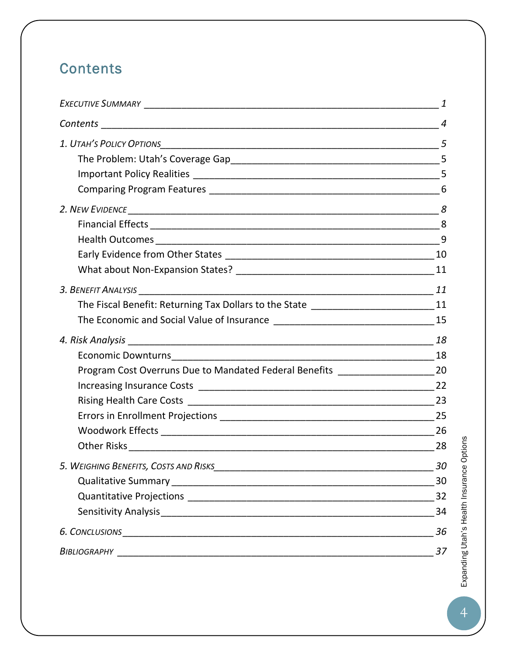# **Contents**

|                                                                                    | $\overline{4}$ |
|------------------------------------------------------------------------------------|----------------|
|                                                                                    | 5              |
|                                                                                    |                |
|                                                                                    |                |
|                                                                                    |                |
|                                                                                    |                |
|                                                                                    |                |
|                                                                                    |                |
|                                                                                    |                |
|                                                                                    |                |
|                                                                                    |                |
| The Fiscal Benefit: Returning Tax Dollars to the State _________________________11 |                |
|                                                                                    |                |
|                                                                                    |                |
|                                                                                    |                |
| Program Cost Overruns Due to Mandated Federal Benefits ________________________20  |                |
|                                                                                    |                |
|                                                                                    | 23             |
|                                                                                    |                |
|                                                                                    | 26             |
|                                                                                    | 28             |
|                                                                                    | 30             |
|                                                                                    | 30             |
|                                                                                    | 32             |
|                                                                                    | 34             |
| <b>6. CONCLUSIONS</b>                                                              | 36             |
|                                                                                    | 37             |

Expanding Utah's Health Insurance Options **Expanding Utah's Health Insurance Options**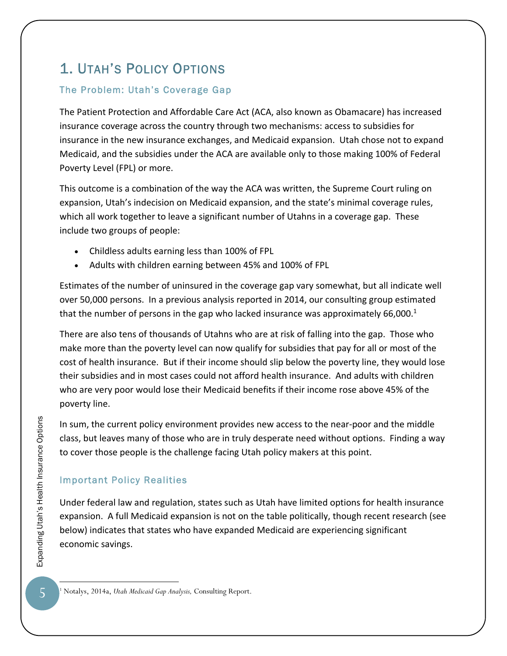# 1. UTAH'S POLICY OPTIONS

### The Problem: Utah's Coverage Gap

The Patient Protection and Affordable Care Act (ACA, also known as Obamacare) has increased insurance coverage across the country through two mechanisms: access to subsidies for insurance in the new insurance exchanges, and Medicaid expansion. Utah chose not to expand Medicaid, and the subsidies under the ACA are available only to those making 100% of Federal Poverty Level (FPL) or more.

This outcome is a combination of the way the ACA was written, the Supreme Court ruling on expansion, Utah's indecision on Medicaid expansion, and the state's minimal coverage rules, which all work together to leave a significant number of Utahns in a coverage gap. These include two groups of people:

- Childless adults earning less than 100% of FPL
- Adults with children earning between 45% and 100% of FPL

Estimates of the number of uninsured in the coverage gap vary somewhat, but all indicate well over 50,000 persons. In a previous analysis reported in 2014, our consulting group estimated that the number of persons in the gap who lacked insurance was approximately 66,000. $<sup>1</sup>$ </sup>

There are also tens of thousands of Utahns who are at risk of falling into the gap. Those who make more than the poverty level can now qualify for subsidies that pay for all or most of the cost of health insurance. But if their income should slip below the poverty line, they would lose their subsidies and in most cases could not afford health insurance. And adults with children who are very poor would lose their Medicaid benefits if their income rose above 45% of the poverty line.

In sum, the current policy environment provides new access to the near‐poor and the middle class, but leaves many of those who are in truly desperate need without options. Finding a way to cover those people is the challenge facing Utah policy makers at this point.

### Important Policy Realities

Under federal law and regulation, states such as Utah have limited options for health insurance expansion. A full Medicaid expansion is not on the table politically, though recent research (see below) indicates that states who have expanded Medicaid are experiencing significant economic savings.

<sup>1</sup> Notalys, 2014a, *Utah Medicaid Gap Analysis,* Consulting Report.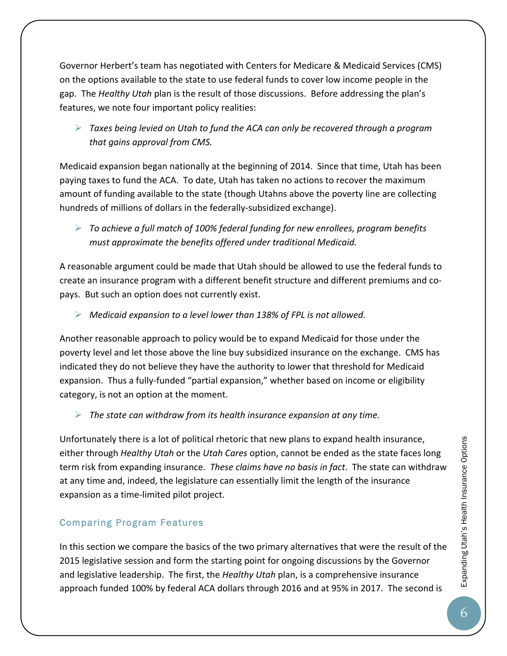Governor Herbert's team has negotiated with Centers for Medicare & Medicaid Services (CMS) on the options available to the state to use federal funds to cover low income people in the gap. The *Healthy Utah* plan is the result of those discussions. Before addressing the plan's features, we note four important policy realities:

 *Taxes being levied on Utah to fund the ACA can only be recovered through a program that gains approval from CMS.*

Medicaid expansion began nationally at the beginning of 2014. Since that time, Utah has been paying taxes to fund the ACA. To date, Utah has taken no actions to recover the maximum amount of funding available to the state (though Utahns above the poverty line are collecting hundreds of millions of dollars in the federally‐subsidized exchange).

 *To achieve a full match of 100% federal funding for new enrollees, program benefits must approximate the benefits offered under traditional Medicaid.*

A reasonable argument could be made that Utah should be allowed to use the federal funds to create an insurance program with a different benefit structure and different premiums and co‐ pays. But such an option does not currently exist.

*Medicaid expansion to a level lower than 138% of FPL is not allowed.*

Another reasonable approach to policy would be to expand Medicaid for those under the poverty level and let those above the line buy subsidized insurance on the exchange. CMS has indicated they do not believe they have the authority to lower that threshold for Medicaid expansion. Thus a fully-funded "partial expansion," whether based on income or eligibility category, is not an option at the moment.

*The state can withdraw from its health insurance expansion at any time.*

Unfortunately there is a lot of political rhetoric that new plans to expand health insurance, either through *Healthy Utah* or the *Utah Cares* option, cannot be ended as the state faces long term risk from expanding insurance. *These claims have no basis in fact*. The state can withdraw at any time and, indeed, the legislature can essentially limit the length of the insurance expansion as a time‐limited pilot project.

#### Comparing Program Features

In this section we compare the basics of the two primary alternatives that were the result of the 2015 legislative session and form the starting point for ongoing discussions by the Governor and legislative leadership. The first, the *Healthy Utah* plan, is a comprehensive insurance approach funded 100% by federal ACA dollars through 2016 and at 95% in 2017. The second is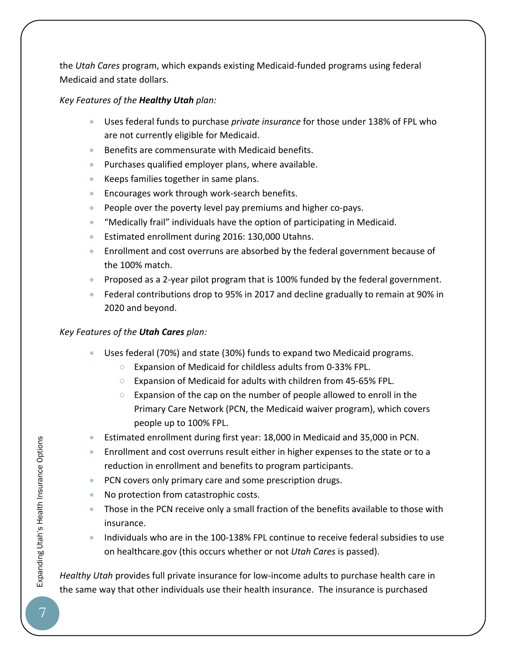the *Utah Cares* program, which expands existing Medicaid‐funded programs using federal Medicaid and state dollars.

#### *Key Features of the Healthy Utah plan:*

- Uses federal funds to purchase *private insurance* for those under 138% of FPL who are not currently eligible for Medicaid.
- Benefits are commensurate with Medicaid benefits.
- **•** Purchases qualified employer plans, where available.
- Keeps families together in same plans.
- Encourages work through work-search benefits.
- People over the poverty level pay premiums and higher co-pays.
- "Medically frail" individuals have the option of participating in Medicaid.
- Estimated enrollment during 2016: 130,000 Utahns.
- Enrollment and cost overruns are absorbed by the federal government because of the 100% match.
- Proposed as a 2-year pilot program that is 100% funded by the federal government.
- Federal contributions drop to 95% in 2017 and decline gradually to remain at 90% in 2020 and beyond.

#### *Key Features of the Utah Cares plan:*

- Uses federal (70%) and state (30%) funds to expand two Medicaid programs.
	- Expansion of Medicaid for childless adults from 0‐33% FPL.
	- Expansion of Medicaid for adults with children from 45‐65% FPL.
	- $\circ$  Expansion of the cap on the number of people allowed to enroll in the Primary Care Network (PCN, the Medicaid waiver program), which covers people up to 100% FPL.
- Estimated enrollment during first year: 18,000 in Medicaid and 35,000 in PCN.
- Enrollment and cost overruns result either in higher expenses to the state or to a reduction in enrollment and benefits to program participants.
- PCN covers only primary care and some prescription drugs.
- No protection from catastrophic costs.
- Those in the PCN receive only a small fraction of the benefits available to those with insurance.
- Individuals who are in the 100-138% FPL continue to receive federal subsidies to use on healthcare.gov (this occurs whether or not *Utah Cares* is passed).

*Healthy Utah* provides full private insurance for low‐income adults to purchase health care in the same way that other individuals use their health insurance. The insurance is purchased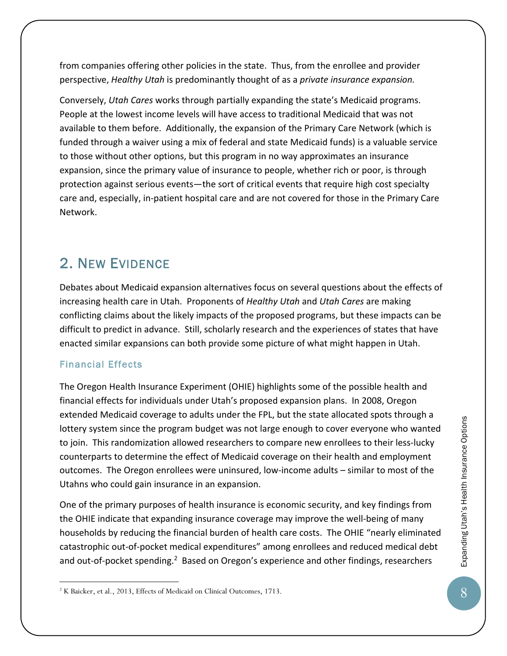from companies offering other policies in the state. Thus, from the enrollee and provider perspective, *Healthy Utah* is predominantly thought of as a *private insurance expansion.* 

Conversely, *Utah Cares* works through partially expanding the state's Medicaid programs. People at the lowest income levels will have access to traditional Medicaid that was not available to them before. Additionally, the expansion of the Primary Care Network (which is funded through a waiver using a mix of federal and state Medicaid funds) is a valuable service to those without other options, but this program in no way approximates an insurance expansion, since the primary value of insurance to people, whether rich or poor, is through protection against serious events—the sort of critical events that require high cost specialty care and, especially, in‐patient hospital care and are not covered for those in the Primary Care Network.

# 2. NEW EVIDENCE

Debates about Medicaid expansion alternatives focus on several questions about the effects of increasing health care in Utah. Proponents of *Healthy Utah* and *Utah Cares* are making conflicting claims about the likely impacts of the proposed programs, but these impacts can be difficult to predict in advance.Still, scholarly research and the experiences of states that have enacted similar expansions can both provide some picture of what might happen in Utah.

#### Financial Effects

 $\overline{a}$ 

The Oregon Health Insurance Experiment (OHIE) highlights some of the possible health and financial effects for individuals under Utah's proposed expansion plans. In 2008, Oregon extended Medicaid coverage to adults under the FPL, but the state allocated spots through a lottery system since the program budget was not large enough to cover everyone who wanted to join. This randomization allowed researchers to compare new enrollees to their less-lucky counterparts to determine the effect of Medicaid coverage on their health and employment outcomes. The Oregon enrollees were uninsured, low‐income adults – similar to most of the Utahns who could gain insurance in an expansion.

One of the primary purposes of health insurance is economic security, and key findings from the OHIE indicate that expanding insurance coverage may improve the well‐being of many households by reducing the financial burden of health care costs. The OHIE "nearly eliminated catastrophic out‐of‐pocket medical expenditures" among enrollees and reduced medical debt and out-of-pocket spending.<sup>2</sup> Based on Oregon's experience and other findings, researchers

<sup>2</sup> K Baicker, et al., 2013, Effects of Medicaid on Clinical Outcomes, 1713.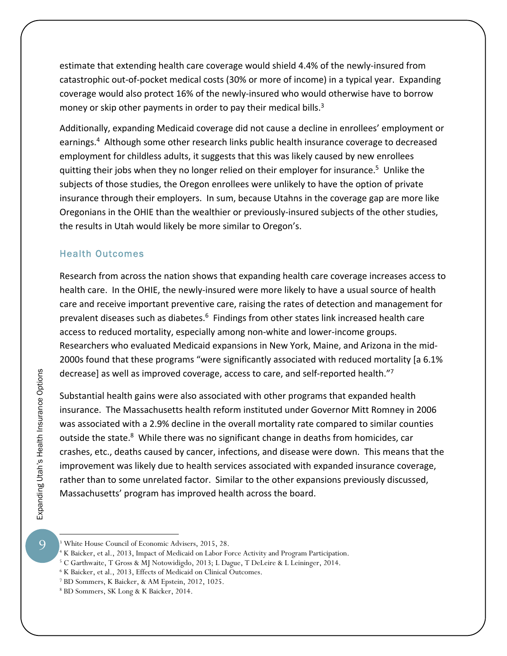estimate that extending health care coverage would shield 4.4% of the newly‐insured from catastrophic out‐of‐pocket medical costs (30% or more of income) in a typical year. Expanding coverage would also protect 16% of the newly‐insured who would otherwise have to borrow money or skip other payments in order to pay their medical bills.<sup>3</sup>

Additionally, expanding Medicaid coverage did not cause a decline in enrollees' employment or earnings.<sup>4</sup> Although some other research links public health insurance coverage to decreased employment for childless adults, it suggests that this was likely caused by new enrollees quitting their jobs when they no longer relied on their employer for insurance.<sup>5</sup> Unlike the subjects of those studies, the Oregon enrollees were unlikely to have the option of private insurance through their employers. In sum, because Utahns in the coverage gap are more like Oregonians in the OHIE than the wealthier or previously‐insured subjects of the other studies, the results in Utah would likely be more similar to Oregon's.

#### Health Outcomes

Research from across the nation shows that expanding health care coverage increases access to health care. In the OHIE, the newly‐insured were more likely to have a usual source of health care and receive important preventive care, raising the rates of detection and management for prevalent diseases such as diabetes.<sup>6</sup> Findings from other states link increased health care access to reduced mortality, especially among non‐white and lower‐income groups. Researchers who evaluated Medicaid expansions in New York, Maine, and Arizona in the mid‐ 2000s found that these programs "were significantly associated with reduced mortality [a 6.1% decrease] as well as improved coverage, access to care, and self‐reported health."7

Substantial health gains were also associated with other programs that expanded health insurance. The Massachusetts health reform instituted under Governor Mitt Romney in 2006 was associated with a 2.9% decline in the overall mortality rate compared to similar counties outside the state.<sup>8</sup> While there was no significant change in deaths from homicides, car crashes, etc., deaths caused by cancer, infections, and disease were down. This means that the improvement was likely due to health services associated with expanded insurance coverage, rather than to some unrelated factor. Similar to the other expansions previously discussed, Massachusetts' program has improved health across the board.

 $\overline{Q}$ 

<sup>3</sup> White House Council of Economic Advisers, 2015, 28.

<sup>&</sup>lt;sup>4</sup> K Baicker, et al., 2013, Impact of Medicaid on Labor Force Activity and Program Participation.<br><sup>5</sup> C Garthwaite, T Gross & MI Notowidigdo, 2013: I Dague, T DeLeire & L Leininger, 2014.

<sup>&</sup>lt;sup>5</sup> C Garthwaite, T Gross & MJ Notowidigdo, 2013; L Dague, T DeLeire & L Leininger, 2014.

<sup>&</sup>lt;sup>6</sup> K Baicker, et al., 2013, Effects of Medicaid on Clinical Outcomes.

BD Sommers, K Baicker, & AM Epstein, 2012, 1025.

<sup>8</sup> BD Sommers, SK Long & K Baicker, 2014.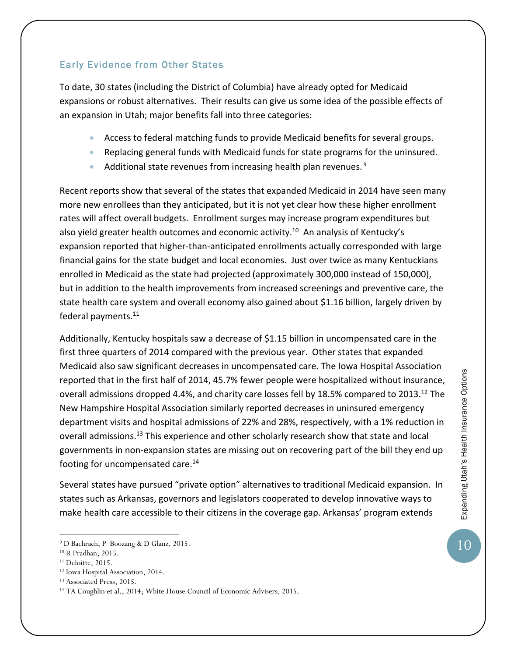#### Early Evidence from Other States

To date, 30 states (including the District of Columbia) have already opted for Medicaid expansions or robust alternatives. Their results can give us some idea of the possible effects of an expansion in Utah; major benefits fall into three categories:

- Access to federal matching funds to provide Medicaid benefits for several groups.
- Replacing general funds with Medicaid funds for state programs for the uninsured.
- Additional state revenues from increasing health plan revenues.  $9$

Recent reports show that several of the states that expanded Medicaid in 2014 have seen many more new enrollees than they anticipated, but it is not yet clear how these higher enrollment rates will affect overall budgets. Enrollment surges may increase program expenditures but also yield greater health outcomes and economic activity.<sup>10</sup> An analysis of Kentucky's expansion reported that higher-than-anticipated enrollments actually corresponded with large financial gains for the state budget and local economies. Just over twice as many Kentuckians enrolled in Medicaid as the state had projected (approximately 300,000 instead of 150,000), but in addition to the health improvements from increased screenings and preventive care, the state health care system and overall economy also gained about \$1.16 billion, largely driven by federal payments.<sup>11</sup>

Additionally, Kentucky hospitals saw a decrease of \$1.15 billion in uncompensated care in the first three quarters of 2014 compared with the previous year. Other states that expanded Medicaid also saw significant decreases in uncompensated care. The Iowa Hospital Association reported that in the first half of 2014, 45.7% fewer people were hospitalized without insurance, overall admissions dropped 4.4%, and charity care losses fell by 18.5% compared to 2013.<sup>12</sup> The New Hampshire Hospital Association similarly reported decreases in uninsured emergency department visits and hospital admissions of 22% and 28%, respectively, with a 1% reduction in overall admissions.13 This experience and other scholarly research show that state and local governments in non‐expansion states are missing out on recovering part of the bill they end up footing for uncompensated care.<sup>14</sup>

Several states have pursued "private option" alternatives to traditional Medicaid expansion. In states such as Arkansas, governors and legislators cooperated to develop innovative ways to make health care accessible to their citizens in the coverage gap. Arkansas' program extends

 $\overline{a}$ 

10

<sup>9</sup> D Bachrach, P Boozang & D Glanz, 2015.

<sup>10</sup> R Pradhan, 2015.

 $11$  Deloitte, 2015.

<sup>12</sup> Iowa Hospital Association, 2014.

<sup>13</sup> Associated Press, 2015.

<sup>&</sup>lt;sup>14</sup> TA Coughlin et al., 2014; White House Council of Economic Advisers, 2015.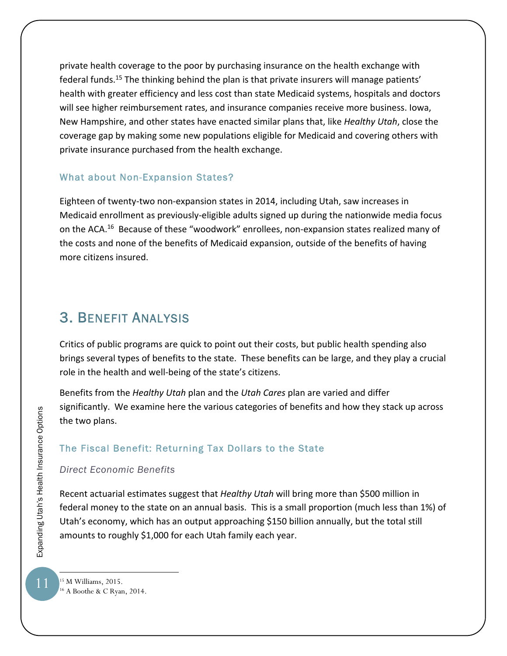private health coverage to the poor by purchasing insurance on the health exchange with federal funds.<sup>15</sup> The thinking behind the plan is that private insurers will manage patients' health with greater efficiency and less cost than state Medicaid systems, hospitals and doctors will see higher reimbursement rates, and insurance companies receive more business. Iowa, New Hampshire, and other states have enacted similar plans that, like *Healthy Utah*, close the coverage gap by making some new populations eligible for Medicaid and covering others with private insurance purchased from the health exchange.

#### What about Non-Expansion States?

Eighteen of twenty‐two non‐expansion states in 2014, including Utah, saw increases in Medicaid enrollment as previously‐eligible adults signed up during the nationwide media focus on the ACA.<sup>16</sup> Because of these "woodwork" enrollees, non-expansion states realized many of the costs and none of the benefits of Medicaid expansion, outside of the benefits of having more citizens insured.

# 3. BENEFIT ANALYSIS

Critics of public programs are quick to point out their costs, but public health spending also brings several types of benefits to the state. These benefits can be large, and they play a crucial role in the health and well‐being of the state's citizens.

Benefits from the *Healthy Utah* plan and the *Utah Cares* plan are varied and differ significantly. We examine here the various categories of benefits and how they stack up across the two plans.

#### The Fiscal Benefit: Returning Tax Dollars to the State

*Direct Economic Benefits* 

Recent actuarial estimates suggest that *Healthy Utah* will bring more than \$500 million in federal money to the state on an annual basis. This is a small proportion (much less than 1%) of Utah's economy, which has an output approaching \$150 billion annually, but the total still amounts to roughly \$1,000 for each Utah family each year.

15 M Williams, 2015. 16 A Boothe & C Ryan, 2014.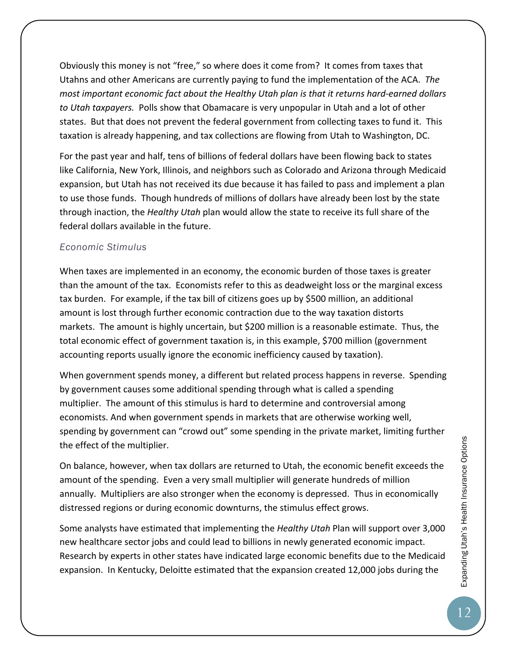Obviously this money is not "free," so where does it come from? It comes from taxes that Utahns and other Americans are currently paying to fund the implementation of the ACA. *The most important economic fact about the Healthy Utah plan is that it returns hard‐earned dollars to Utah taxpayers.* Polls show that Obamacare is very unpopular in Utah and a lot of other states. But that does not prevent the federal government from collecting taxes to fund it. This taxation is already happening, and tax collections are flowing from Utah to Washington, DC.

For the past year and half, tens of billions of federal dollars have been flowing back to states like California, New York, Illinois, and neighbors such as Colorado and Arizona through Medicaid expansion, but Utah has not received its due because it has failed to pass and implement a plan to use those funds. Though hundreds of millions of dollars have already been lost by the state through inaction, the *Healthy Utah* plan would allow the state to receive its full share of the federal dollars available in the future.

#### *Economic Stimulus*

When taxes are implemented in an economy, the economic burden of those taxes is greater than the amount of the tax. Economists refer to this as deadweight loss or the marginal excess tax burden. For example, if the tax bill of citizens goes up by \$500 million, an additional amount is lost through further economic contraction due to the way taxation distorts markets. The amount is highly uncertain, but \$200 million is a reasonable estimate. Thus, the total economic effect of government taxation is, in this example, \$700 million (government accounting reports usually ignore the economic inefficiency caused by taxation).

When government spends money, a different but related process happens in reverse. Spending by government causes some additional spending through what is called a spending multiplier. The amount of this stimulus is hard to determine and controversial among economists. And when government spends in markets that are otherwise working well, spending by government can "crowd out" some spending in the private market, limiting further the effect of the multiplier.

On balance, however, when tax dollars are returned to Utah, the economic benefit exceeds the amount of the spending. Even a very small multiplier will generate hundreds of million annually. Multipliers are also stronger when the economy is depressed. Thus in economically distressed regions or during economic downturns, the stimulus effect grows.

Some analysts have estimated that implementing the *Healthy Utah* Plan will support over 3,000 new healthcare sector jobs and could lead to billions in newly generated economic impact. Research by experts in other states have indicated large economic benefits due to the Medicaid expansion. In Kentucky, Deloitte estimated that the expansion created 12,000 jobs during the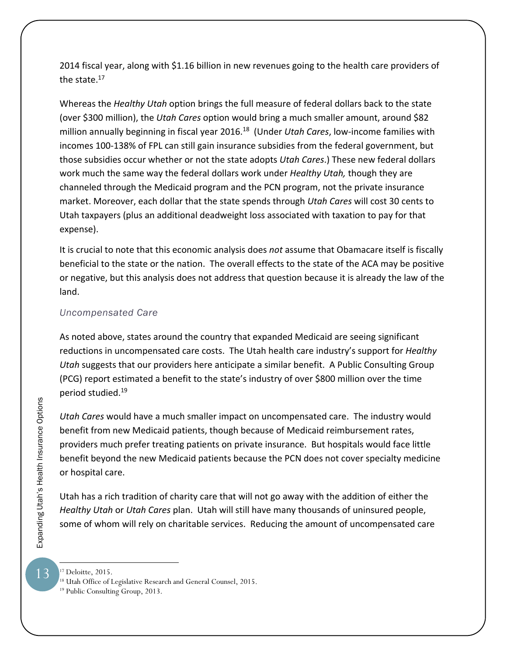2014 fiscal year, along with \$1.16 billion in new revenues going to the health care providers of the state.<sup>17</sup>

Whereas the *Healthy Utah* option brings the full measure of federal dollars back to the state (over \$300 million), the *Utah Cares* option would bring a much smaller amount, around \$82 million annually beginning in fiscal year 2016.18 (Under *Utah Cares*, low‐income families with incomes 100‐138% of FPL can still gain insurance subsidies from the federal government, but those subsidies occur whether or not the state adopts *Utah Cares*.) These new federal dollars work much the same way the federal dollars work under *Healthy Utah,* though they are channeled through the Medicaid program and the PCN program, not the private insurance market. Moreover, each dollar that the state spends through *Utah Cares* will cost 30 cents to Utah taxpayers (plus an additional deadweight loss associated with taxation to pay for that expense).

It is crucial to note that this economic analysis does *not* assume that Obamacare itself is fiscally beneficial to the state or the nation. The overall effects to the state of the ACA may be positive or negative, but this analysis does not address that question because it is already the law of the land.

#### *Uncompensated Care*

As noted above, states around the country that expanded Medicaid are seeing significant reductions in uncompensated care costs. The Utah health care industry's support for *Healthy Utah* suggests that our providers here anticipate a similar benefit. A Public Consulting Group (PCG) report estimated a benefit to the state's industry of over \$800 million over the time period studied.19

*Utah Cares* would have a much smaller impact on uncompensated care. The industry would benefit from new Medicaid patients, though because of Medicaid reimbursement rates, providers much prefer treating patients on private insurance. But hospitals would face little benefit beyond the new Medicaid patients because the PCN does not cover specialty medicine or hospital care.

Utah has a rich tradition of charity care that will not go away with the addition of either the *Healthy Utah* or *Utah Cares* plan. Utah will still have many thousands of uninsured people, some of whom will rely on charitable services. Reducing the amount of uncompensated care

13

<sup>&</sup>lt;sup>17</sup> Deloitte, 2015.

<sup>&</sup>lt;sup>18</sup> Utah Office of Legislative Research and General Counsel, 2015.<br><sup>19</sup> Public Consulting Group, 2013.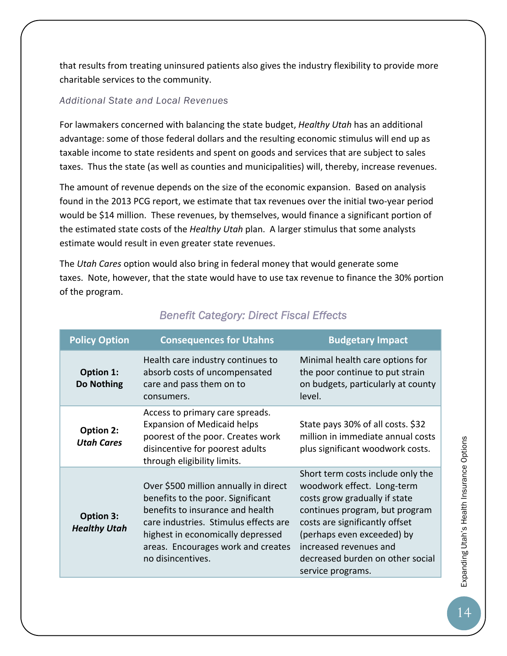that results from treating uninsured patients also gives the industry flexibility to provide more charitable services to the community.

#### *Additional State and Local Revenues*

For lawmakers concerned with balancing the state budget, *Healthy Utah* has an additional advantage: some of those federal dollars and the resulting economic stimulus will end up as taxable income to state residents and spent on goods and services that are subject to sales taxes. Thus the state (as well as counties and municipalities) will, thereby, increase revenues.

The amount of revenue depends on the size of the economic expansion. Based on analysis found in the 2013 PCG report, we estimate that tax revenues over the initial two‐year period would be \$14 million. These revenues, by themselves, would finance a significant portion of the estimated state costs of the *Healthy Utah* plan. A larger stimulus that some analysts estimate would result in even greater state revenues.

The *Utah Cares* option would also bring in federal money that would generate some taxes. Note, however, that the state would have to use tax revenue to finance the 30% portion of the program.

| <b>Policy Option</b>             | <b>Consequences for Utahns</b>                                                                                                                                                                                                                          | <b>Budgetary Impact</b>                                                                                                                                                                                                                                                               |
|----------------------------------|---------------------------------------------------------------------------------------------------------------------------------------------------------------------------------------------------------------------------------------------------------|---------------------------------------------------------------------------------------------------------------------------------------------------------------------------------------------------------------------------------------------------------------------------------------|
| Option 1:<br>Do Nothing          | Health care industry continues to<br>absorb costs of uncompensated<br>care and pass them on to<br>consumers.                                                                                                                                            | Minimal health care options for<br>the poor continue to put strain<br>on budgets, particularly at county<br>level.                                                                                                                                                                    |
| Option 2:<br><b>Utah Cares</b>   | Access to primary care spreads.<br><b>Expansion of Medicaid helps</b><br>poorest of the poor. Creates work<br>disincentive for poorest adults<br>through eligibility limits.                                                                            | State pays 30% of all costs. \$32<br>million in immediate annual costs<br>plus significant woodwork costs.                                                                                                                                                                            |
| Option 3:<br><b>Healthy Utah</b> | Over \$500 million annually in direct<br>benefits to the poor. Significant<br>benefits to insurance and health<br>care industries. Stimulus effects are<br>highest in economically depressed<br>areas. Encourages work and creates<br>no disincentives. | Short term costs include only the<br>woodwork effect. Long-term<br>costs grow gradually if state<br>continues program, but program<br>costs are significantly offset<br>(perhaps even exceeded) by<br>increased revenues and<br>decreased burden on other social<br>service programs. |

# *Benefit Category: Direct Fiscal Effects*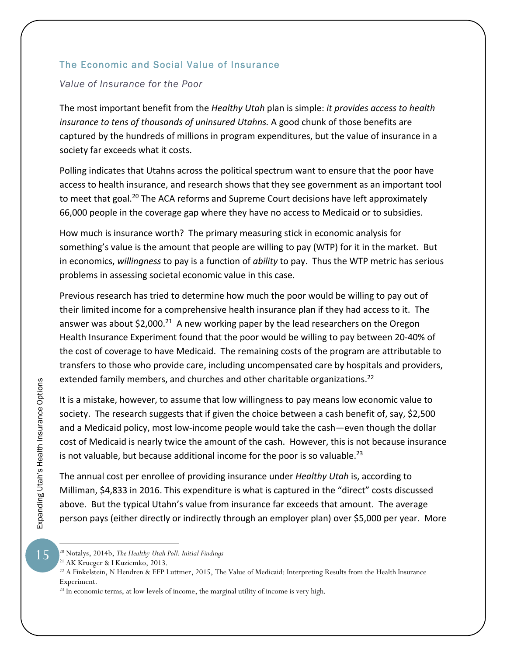#### The Economic and Social Value of Insurance

#### *Value of Insurance for the Poor*

The most important benefit from the *Healthy Utah* plan is simple: *it provides access to health insurance to tens of thousands of uninsured Utahns.* A good chunk of those benefits are captured by the hundreds of millions in program expenditures, but the value of insurance in a society far exceeds what it costs.

Polling indicates that Utahns across the political spectrum want to ensure that the poor have access to health insurance, and research shows that they see government as an important tool to meet that goal.<sup>20</sup> The ACA reforms and Supreme Court decisions have left approximately 66,000 people in the coverage gap where they have no access to Medicaid or to subsidies.

How much is insurance worth? The primary measuring stick in economic analysis for something's value is the amount that people are willing to pay (WTP) for it in the market. But in economics, *willingness* to pay is a function of *ability* to pay. Thus the WTP metric has serious problems in assessing societal economic value in this case.

Previous research has tried to determine how much the poor would be willing to pay out of their limited income for a comprehensive health insurance plan if they had access to it. The answer was about  $$2,000.<sup>21</sup>$  A new working paper by the lead researchers on the Oregon Health Insurance Experiment found that the poor would be willing to pay between 20‐40% of the cost of coverage to have Medicaid. The remaining costs of the program are attributable to transfers to those who provide care, including uncompensated care by hospitals and providers, extended family members, and churches and other charitable organizations.<sup>22</sup>

It is a mistake, however, to assume that low willingness to pay means low economic value to society. The research suggests that if given the choice between a cash benefit of, say, \$2,500 and a Medicaid policy, most low-income people would take the cash—even though the dollar cost of Medicaid is nearly twice the amount of the cash. However, this is not because insurance is not valuable, but because additional income for the poor is so valuable.<sup>23</sup>

The annual cost per enrollee of providing insurance under *Healthy Utah* is, according to Milliman, \$4,833 in 2016. This expenditure is what is captured in the "direct" costs discussed above. But the typical Utahn's value from insurance far exceeds that amount. The average person pays (either directly or indirectly through an employer plan) over \$5,000 per year. More

Expanding Utah's Health Insurance Options

<sup>20</sup> Notalys, 2014b, *The Healthy Utah Poll: Initial Findings* 

<sup>21</sup> AK Krueger & I Kuziemko, 2013.

<sup>&</sup>lt;sup>22</sup> A Finkelstein, N Hendren & EFP Luttmer, 2015, The Value of Medicaid: Interpreting Results from the Health Insurance Experiment.

<sup>&</sup>lt;sup>23</sup> In economic terms, at low levels of income, the marginal utility of income is very high.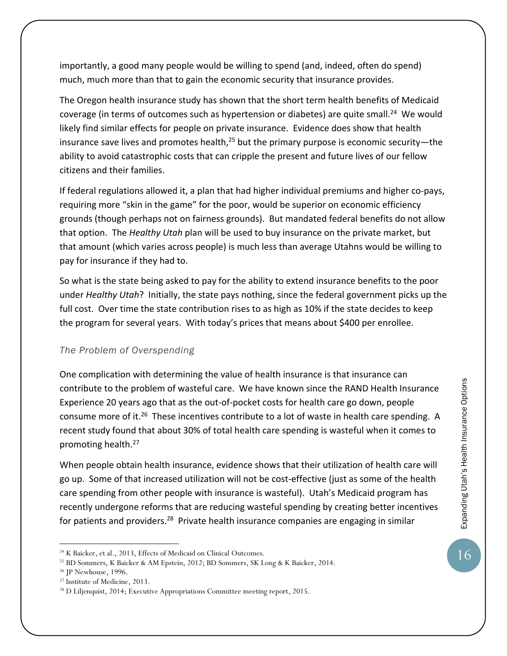importantly, a good many people would be willing to spend (and, indeed, often do spend) much, much more than that to gain the economic security that insurance provides.

The Oregon health insurance study has shown that the short term health benefits of Medicaid coverage (in terms of outcomes such as hypertension or diabetes) are quite small.<sup>24</sup> We would likely find similar effects for people on private insurance. Evidence does show that health insurance save lives and promotes health, $^{25}$  but the primary purpose is economic security—the ability to avoid catastrophic costs that can cripple the present and future lives of our fellow citizens and their families.

If federal regulations allowed it, a plan that had higher individual premiums and higher co‐pays, requiring more "skin in the game" for the poor, would be superior on economic efficiency grounds (though perhaps not on fairness grounds). But mandated federal benefits do not allow that option. The *Healthy Utah* plan will be used to buy insurance on the private market, but that amount (which varies across people) is much less than average Utahns would be willing to pay for insurance if they had to.

So what is the state being asked to pay for the ability to extend insurance benefits to the poor under *Healthy Utah*? Initially, the state pays nothing, since the federal government picks up the full cost. Over time the state contribution rises to as high as 10% if the state decides to keep the program for several years. With today's prices that means about \$400 per enrollee.

#### *The Problem of Overspending*

One complication with determining the value of health insurance is that insurance can contribute to the problem of wasteful care. We have known since the RAND Health Insurance Experience 20 years ago that as the out‐of‐pocket costs for health care go down, people consume more of it.<sup>26</sup> These incentives contribute to a lot of waste in health care spending. A recent study found that about 30% of total health care spending is wasteful when it comes to promoting health.27

When people obtain health insurance, evidence shows that their utilization of health care will go up. Some of that increased utilization will not be cost‐effective (just as some of the health care spending from other people with insurance is wasteful). Utah's Medicaid program has recently undergone reforms that are reducing wasteful spending by creating better incentives for patients and providers.<sup>28</sup> Private health insurance companies are engaging in similar

 $\overline{a}$ 

16

<sup>&</sup>lt;sup>24</sup> K Baicker, et al., 2013, Effects of Medicaid on Clinical Outcomes.<br><sup>25</sup> BD Sommers, K Baicker & AM Epstein, 2012; BD Sommers, SK Long & K Baicker, 2014.

<sup>26</sup> JP Newhouse, 1996.

<sup>27</sup> Institute of Medicine, 2013.

<sup>28</sup> D Liljenquist, 2014; Executive Appropriations Committee meeting report, 2015.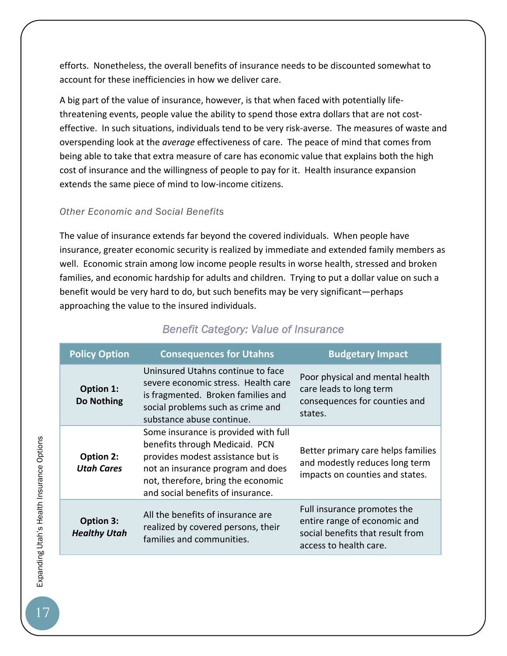efforts. Nonetheless, the overall benefits of insurance needs to be discounted somewhat to account for these inefficiencies in how we deliver care.

A big part of the value of insurance, however, is that when faced with potentially life‐ threatening events, people value the ability to spend those extra dollars that are not cost‐ effective. In such situations, individuals tend to be very risk‐averse. The measures of waste and overspending look at the *average* effectiveness of care. The peace of mind that comes from being able to take that extra measure of care has economic value that explains both the high cost of insurance and the willingness of people to pay for it. Health insurance expansion extends the same piece of mind to low‐income citizens.

#### *Other Economic and Social Benefits*

The value of insurance extends far beyond the covered individuals. When people have insurance, greater economic security is realized by immediate and extended family members as well. Economic strain among low income people results in worse health, stressed and broken families, and economic hardship for adults and children. Trying to put a dollar value on such a benefit would be very hard to do, but such benefits may be very significant—perhaps approaching the value to the insured individuals.

| <b>Policy Option</b>                    | <b>Consequences for Utahns</b>                                                                                                                                                                                              | <b>Budgetary Impact</b>                                                                                                   |
|-----------------------------------------|-----------------------------------------------------------------------------------------------------------------------------------------------------------------------------------------------------------------------------|---------------------------------------------------------------------------------------------------------------------------|
| Option 1:<br>Do Nothing                 | Uninsured Utahns continue to face<br>severe economic stress. Health care<br>is fragmented. Broken families and<br>social problems such as crime and<br>substance abuse continue.                                            | Poor physical and mental health<br>care leads to long term<br>consequences for counties and<br>states.                    |
| Option 2:<br><b>Utah Cares</b>          | Some insurance is provided with full<br>benefits through Medicaid. PCN<br>provides modest assistance but is<br>not an insurance program and does<br>not, therefore, bring the economic<br>and social benefits of insurance. | Better primary care helps families<br>and modestly reduces long term<br>impacts on counties and states.                   |
| <b>Option 3:</b><br><b>Healthy Utah</b> | All the benefits of insurance are<br>realized by covered persons, their<br>families and communities.                                                                                                                        | Full insurance promotes the<br>entire range of economic and<br>social benefits that result from<br>access to health care. |

# *Benefit Category: Value of Insurance*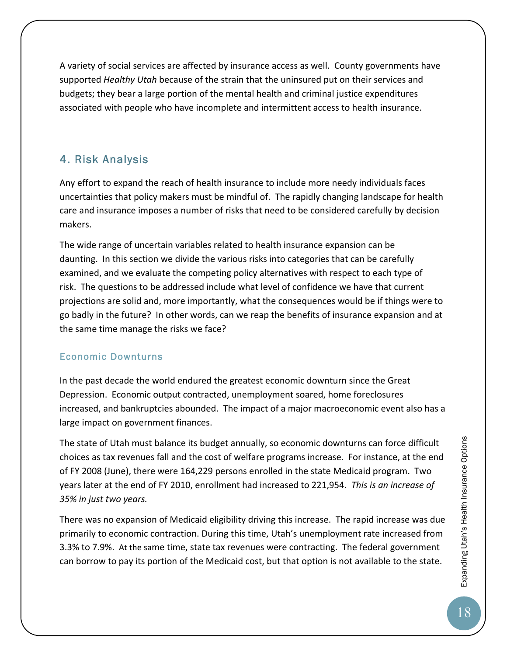A variety of social services are affected by insurance access as well. County governments have supported *Healthy Utah* because of the strain that the uninsured put on their services and budgets; they bear a large portion of the mental health and criminal justice expenditures associated with people who have incomplete and intermittent access to health insurance.

### 4. Risk Analysis

Any effort to expand the reach of health insurance to include more needy individuals faces uncertainties that policy makers must be mindful of. The rapidly changing landscape for health care and insurance imposes a number of risks that need to be considered carefully by decision makers.

The wide range of uncertain variables related to health insurance expansion can be daunting. In this section we divide the various risks into categories that can be carefully examined, and we evaluate the competing policy alternatives with respect to each type of risk. The questions to be addressed include what level of confidence we have that current projections are solid and, more importantly, what the consequences would be if things were to go badly in the future? In other words, can we reap the benefits of insurance expansion and at the same time manage the risks we face?

#### Economic Downturns

In the past decade the world endured the greatest economic downturn since the Great Depression. Economic output contracted, unemployment soared, home foreclosures increased, and bankruptcies abounded. The impact of a major macroeconomic event also has a large impact on government finances.

The state of Utah must balance its budget annually, so economic downturns can force difficult choices as tax revenues fall and the cost of welfare programs increase. For instance, at the end of FY 2008 (June), there were 164,229 persons enrolled in the state Medicaid program. Two years later at the end of FY 2010, enrollment had increased to 221,954. *This is an increase of 35% in just two years.*

There was no expansion of Medicaid eligibility driving this increase. The rapid increase was due primarily to economic contraction. During this time, Utah's unemployment rate increased from 3.3% to 7.9%. At the same time, state tax revenues were contracting. The federal government can borrow to pay its portion of the Medicaid cost, but that option is not available to the state.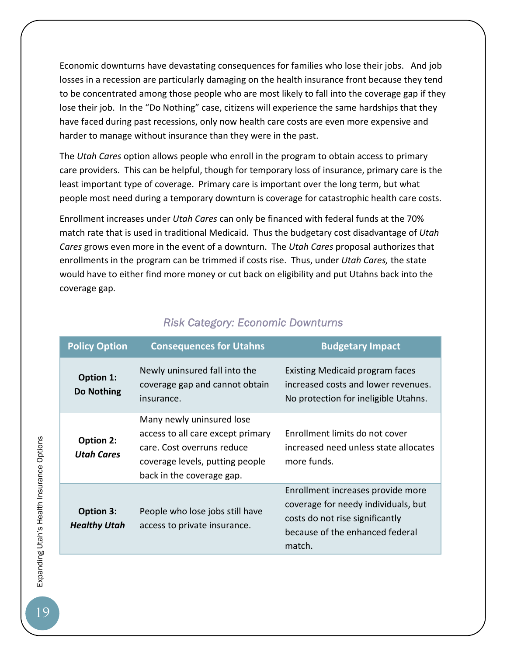Economic downturns have devastating consequences for families who lose their jobs. And job losses in a recession are particularly damaging on the health insurance front because they tend to be concentrated among those people who are most likely to fall into the coverage gap if they lose their job. In the "Do Nothing" case, citizens will experience the same hardships that they have faced during past recessions, only now health care costs are even more expensive and harder to manage without insurance than they were in the past.

The *Utah Cares* option allows people who enroll in the program to obtain access to primary care providers. This can be helpful, though for temporary loss of insurance, primary care is the least important type of coverage. Primary care is important over the long term, but what people most need during a temporary downturn is coverage for catastrophic health care costs.

Enrollment increases under *Utah Cares* can only be financed with federal funds at the 70% match rate that is used in traditional Medicaid. Thus the budgetary cost disadvantage of *Utah Cares* grows even more in the event of a downturn. The *Utah Cares* proposal authorizes that enrollments in the program can be trimmed if costs rise. Thus, under *Utah Cares,* the state would have to either find more money or cut back on eligibility and put Utahns back into the coverage gap.

| <b>Policy Option</b>             | <b>Consequences for Utahns</b>                                                                                                                               | <b>Budgetary Impact</b>                                                                                                                                  |
|----------------------------------|--------------------------------------------------------------------------------------------------------------------------------------------------------------|----------------------------------------------------------------------------------------------------------------------------------------------------------|
| Option 1:<br>Do Nothing          | Newly uninsured fall into the<br>coverage gap and cannot obtain<br>insurance.                                                                                | Existing Medicaid program faces<br>increased costs and lower revenues.<br>No protection for ineligible Utahns.                                           |
| Option 2:<br><b>Utah Cares</b>   | Many newly uninsured lose<br>access to all care except primary<br>care. Cost overruns reduce<br>coverage levels, putting people<br>back in the coverage gap. | Enrollment limits do not cover<br>increased need unless state allocates<br>more funds.                                                                   |
| Option 3:<br><b>Healthy Utah</b> | People who lose jobs still have<br>access to private insurance.                                                                                              | Enrollment increases provide more<br>coverage for needy individuals, but<br>costs do not rise significantly<br>because of the enhanced federal<br>match. |

### *Risk Category: Economic Downturns*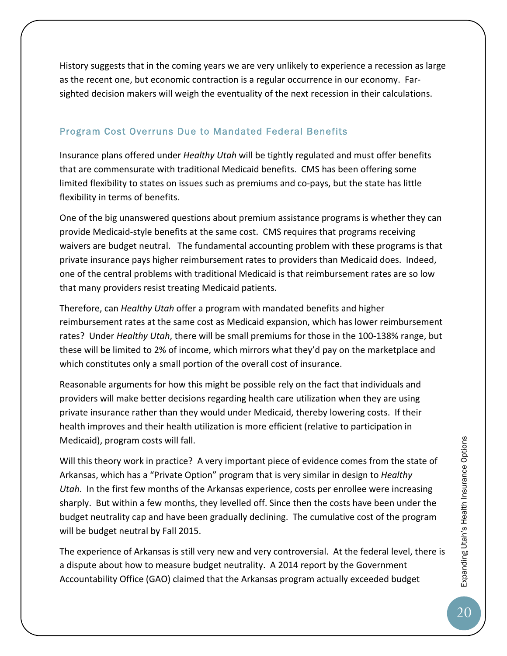History suggests that in the coming years we are very unlikely to experience a recession as large as the recent one, but economic contraction is a regular occurrence in our economy. Far‐ sighted decision makers will weigh the eventuality of the next recession in their calculations.

#### Program Cost Overruns Due to Mandated Federal Benefits

Insurance plans offered under *Healthy Utah* will be tightly regulated and must offer benefits that are commensurate with traditional Medicaid benefits. CMS has been offering some limited flexibility to states on issues such as premiums and co‐pays, but the state has little flexibility in terms of benefits.

One of the big unanswered questions about premium assistance programs is whether they can provide Medicaid‐style benefits at the same cost. CMS requires that programs receiving waivers are budget neutral. The fundamental accounting problem with these programs is that private insurance pays higher reimbursement rates to providers than Medicaid does. Indeed, one of the central problems with traditional Medicaid is that reimbursement rates are so low that many providers resist treating Medicaid patients.

Therefore, can *Healthy Utah* offer a program with mandated benefits and higher reimbursement rates at the same cost as Medicaid expansion, which has lower reimbursement rates? Under *Healthy Utah*, there will be small premiums for those in the 100‐138% range, but these will be limited to 2% of income, which mirrors what they'd pay on the marketplace and which constitutes only a small portion of the overall cost of insurance.

Reasonable arguments for how this might be possible rely on the fact that individuals and providers will make better decisions regarding health care utilization when they are using private insurance rather than they would under Medicaid, thereby lowering costs. If their health improves and their health utilization is more efficient (relative to participation in Medicaid), program costs will fall.

Will this theory work in practice? A very important piece of evidence comes from the state of Arkansas, which has a "Private Option" program that is very similar in design to *Healthy Utah*. In the first few months of the Arkansas experience, costs per enrollee were increasing sharply. But within a few months, they levelled off. Since then the costs have been under the budget neutrality cap and have been gradually declining. The cumulative cost of the program will be budget neutral by Fall 2015.

The experience of Arkansas is still very new and very controversial. At the federal level, there is a dispute about how to measure budget neutrality. A 2014 report by the Government Accountability Office (GAO) claimed that the Arkansas program actually exceeded budget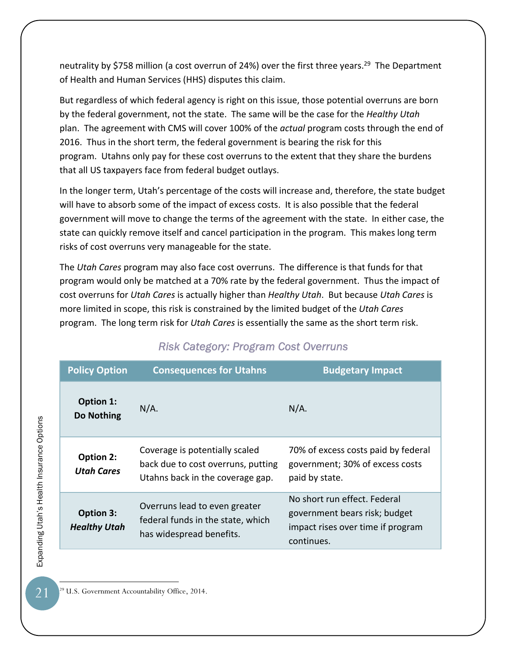neutrality by \$758 million (a cost overrun of 24%) over the first three years.<sup>29</sup> The Department of Health and Human Services (HHS) disputes this claim.

But regardless of which federal agency is right on this issue, those potential overruns are born by the federal government, not the state. The same will be the case for the *Healthy Utah* plan. The agreement with CMS will cover 100% of the *actual* program costs through the end of 2016. Thus in the short term, the federal government is bearing the risk for this program. Utahns only pay for these cost overruns to the extent that they share the burdens that all US taxpayers face from federal budget outlays.

In the longer term, Utah's percentage of the costs will increase and, therefore, the state budget will have to absorb some of the impact of excess costs. It is also possible that the federal government will move to change the terms of the agreement with the state. In either case, the state can quickly remove itself and cancel participation in the program. This makes long term risks of cost overruns very manageable for the state.

The *Utah Cares* program may also face cost overruns. The difference is that funds for that program would only be matched at a 70% rate by the federal government. Thus the impact of cost overruns for *Utah Cares* is actually higher than *Healthy Utah*. But because *Utah Cares* is more limited in scope, this risk is constrained by the limited budget of the *Utah Cares* program. The long term risk for *Utah Cares* is essentially the same as the short term risk.

| <b>Policy Option</b>                    | <b>Consequences for Utahns</b>                                                                           | <b>Budgetary Impact</b>                                                                                          |  |
|-----------------------------------------|----------------------------------------------------------------------------------------------------------|------------------------------------------------------------------------------------------------------------------|--|
| Option 1:<br>Do Nothing                 | $N/A$ .                                                                                                  | $N/A$ .                                                                                                          |  |
| <b>Option 2:</b><br><b>Utah Cares</b>   | Coverage is potentially scaled<br>back due to cost overruns, putting<br>Utahns back in the coverage gap. | 70% of excess costs paid by federal<br>government; 30% of excess costs<br>paid by state.                         |  |
| <b>Option 3:</b><br><b>Healthy Utah</b> | Overruns lead to even greater<br>federal funds in the state, which<br>has widespread benefits.           | No short run effect. Federal<br>government bears risk; budget<br>impact rises over time if program<br>continues. |  |

### *Risk Category: Program Cost Overruns*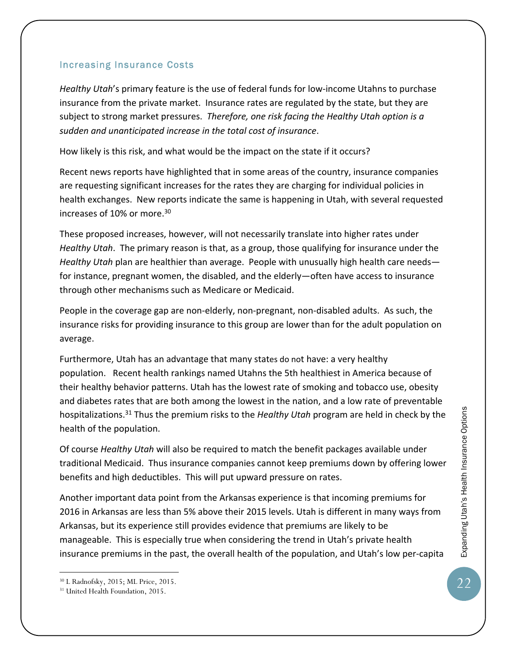*Healthy Utah*'s primary feature is the use of federal funds for low‐income Utahns to purchase insurance from the private market. Insurance rates are regulated by the state, but they are subject to strong market pressures. *Therefore, one risk facing the Healthy Utah option is a sudden and unanticipated increase in the total cost of insurance*.

How likely is this risk, and what would be the impact on the state if it occurs?

Recent news reports have highlighted that in some areas of the country, insurance companies are requesting significant increases for the rates they are charging for individual policies in health exchanges. New reports indicate the same is happening in Utah, with several requested increases of 10% or more.<sup>30</sup>

These proposed increases, however, will not necessarily translate into higher rates under *Healthy Utah*. The primary reason is that, as a group, those qualifying for insurance under the *Healthy Utah* plan are healthier than average. People with unusually high health care needs for instance, pregnant women, the disabled, and the elderly—often have access to insurance through other mechanisms such as Medicare or Medicaid.

People in the coverage gap are non‐elderly, non‐pregnant, non‐disabled adults. As such, the insurance risks for providing insurance to this group are lower than for the adult population on average.

Furthermore, Utah has an advantage that many states do not have: a very healthy population. Recent health rankings named Utahns the 5th healthiest in America because of their healthy behavior patterns. Utah has the lowest rate of smoking and tobacco use, obesity and diabetes rates that are both among the lowest in the nation, and a low rate of preventable hospitalizations.31 Thus the premium risks to the *Healthy Utah* program are held in check by the health of the population.

Of course *Healthy Utah* will also be required to match the benefit packages available under traditional Medicaid. Thus insurance companies cannot keep premiums down by offering lower benefits and high deductibles. This will put upward pressure on rates.

Another important data point from the Arkansas experience is that incoming premiums for 2016 in Arkansas are less than 5% above their 2015 levels. Utah is different in many ways from Arkansas, but its experience still provides evidence that premiums are likely to be manageable. This is especially true when considering the trend in Utah's private health insurance premiums in the past, the overall health of the population, and Utah's low per‐capita

<sup>30</sup> L Radnofsky, 2015; ML Price, 2015.

<sup>&</sup>lt;sup>31</sup> United Health Foundation, 2015.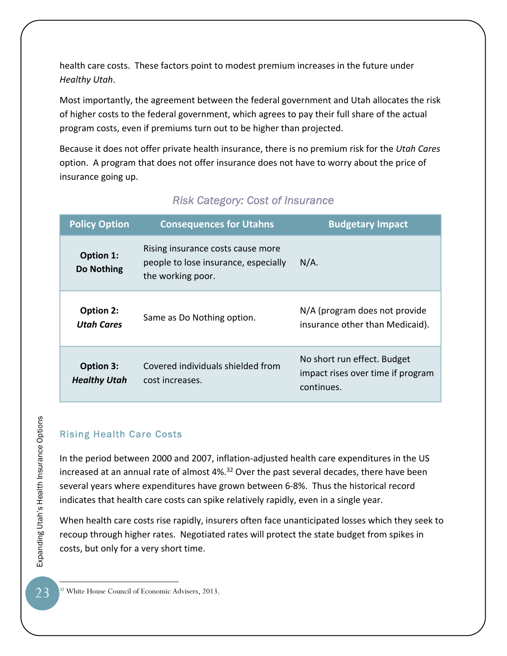health care costs. These factors point to modest premium increases in the future under *Healthy Utah*.

Most importantly, the agreement between the federal government and Utah allocates the risk of higher costs to the federal government, which agrees to pay their full share of the actual program costs, even if premiums turn out to be higher than projected.

Because it does not offer private health insurance, there is no premium risk for the *Utah Cares* option. A program that does not offer insurance does not have to worry about the price of insurance going up.

| <b>Policy Option</b>             | <b>Consequences for Utahns</b>                                                                 | <b>Budgetary Impact</b>                                                        |  |
|----------------------------------|------------------------------------------------------------------------------------------------|--------------------------------------------------------------------------------|--|
| Option 1:<br>Do Nothing          | Rising insurance costs cause more<br>people to lose insurance, especially<br>the working poor. | $N/A$ .                                                                        |  |
| Option 2:<br><b>Utah Cares</b>   | Same as Do Nothing option.                                                                     | N/A (program does not provide<br>insurance other than Medicaid).               |  |
| Option 3:<br><b>Healthy Utah</b> | Covered individuals shielded from<br>cost increases.                                           | No short run effect. Budget<br>impact rises over time if program<br>continues. |  |

# *Risk Category: Cost of Insurance*

# Rising Health Care Costs

In the period between 2000 and 2007, inflation‐adjusted health care expenditures in the US increased at an annual rate of almost 4%.<sup>32</sup> Over the past several decades, there have been several years where expenditures have grown between 6‐8%. Thus the historical record indicates that health care costs can spike relatively rapidly, even in a single year.

When health care costs rise rapidly, insurers often face unanticipated losses which they seek to recoup through higher rates. Negotiated rates will protect the state budget from spikes in costs, but only for a very short time.

 $\overline{a}$ 32 White House Council of Economic Advisers, 2013.

Expanding Utah's Health Insurance Options<br>
CO Expanding Utah's Health Insurance Options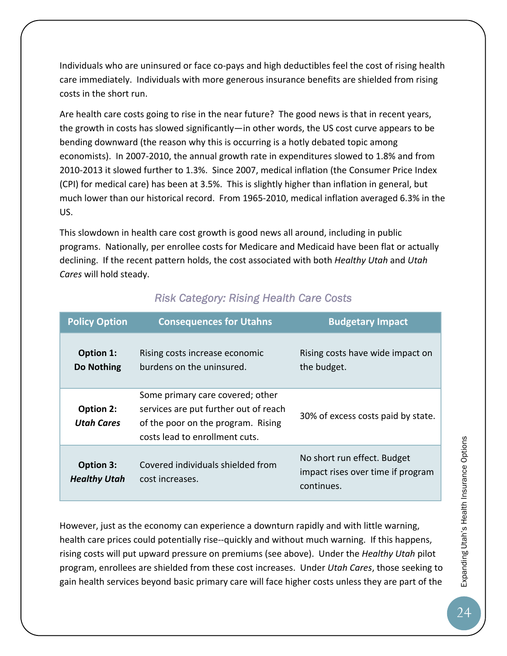Individuals who are uninsured or face co‐pays and high deductibles feel the cost of rising health care immediately. Individuals with more generous insurance benefits are shielded from rising costs in the short run.

Are health care costs going to rise in the near future? The good news is that in recent years, the growth in costs has slowed significantly—in other words, the US cost curve appears to be bending downward (the reason why this is occurring is a hotly debated topic among economists). In 2007‐2010, the annual growth rate in expenditures slowed to 1.8% and from 2010-2013 it slowed further to 1.3%. Since 2007, medical inflation (the Consumer Price Index (CPI) for medical care) has been at 3.5%. This is slightly higher than inflation in general, but much lower than our historical record. From 1965‐2010, medical inflation averaged 6.3% in the US.

This slowdown in health care cost growth is good news all around, including in public programs. Nationally, per enrollee costs for Medicare and Medicaid have been flat or actually declining. If the recent pattern holds, the cost associated with both *Healthy Utah* and *Utah Cares* will hold steady.

| <b>Policy Option</b>                    | <b>Consequences for Utahns</b>                                                                                                                    | <b>Budgetary Impact</b>                                                        |
|-----------------------------------------|---------------------------------------------------------------------------------------------------------------------------------------------------|--------------------------------------------------------------------------------|
| Option 1:<br>Do Nothing                 | Rising costs increase economic<br>burdens on the uninsured.                                                                                       | Rising costs have wide impact on<br>the budget.                                |
| <b>Option 2:</b><br><b>Utah Cares</b>   | Some primary care covered; other<br>services are put further out of reach<br>of the poor on the program. Rising<br>costs lead to enrollment cuts. | 30% of excess costs paid by state.                                             |
| <b>Option 3:</b><br><b>Healthy Utah</b> | Covered individuals shielded from<br>cost increases.                                                                                              | No short run effect. Budget<br>impact rises over time if program<br>continues. |

# *Risk Category: Rising Health Care Costs*

However, just as the economy can experience a downturn rapidly and with little warning, health care prices could potentially rise--quickly and without much warning. If this happens, rising costs will put upward pressure on premiums (see above). Under the *Healthy Utah* pilot program, enrollees are shielded from these cost increases. Under *Utah Cares*, those seeking to gain health services beyond basic primary care will face higher costs unless they are part of the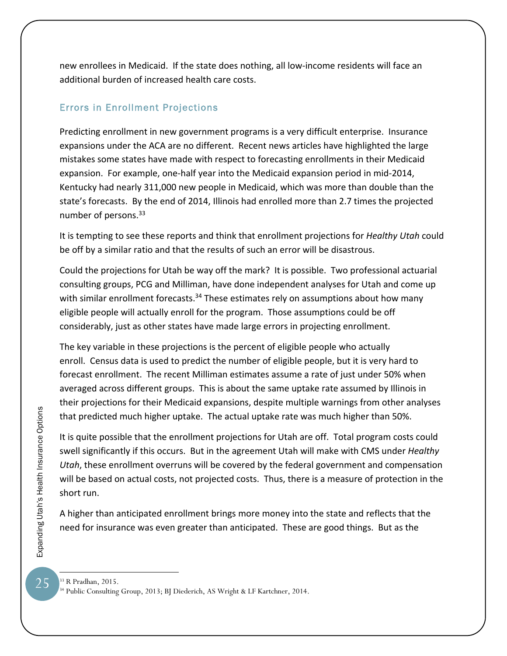new enrollees in Medicaid. If the state does nothing, all low‐income residents will face an additional burden of increased health care costs.

#### Errors in Enrollment Projections

Predicting enrollment in new government programs is a very difficult enterprise. Insurance expansions under the ACA are no different. Recent news articles have highlighted the large mistakes some states have made with respect to forecasting enrollments in their Medicaid expansion. For example, one‐half year into the Medicaid expansion period in mid‐2014, Kentucky had nearly 311,000 new people in Medicaid, which was more than double than the state's forecasts. By the end of 2014, Illinois had enrolled more than 2.7 times the projected number of persons.<sup>33</sup>

It is tempting to see these reports and think that enrollment projections for *Healthy Utah* could be off by a similar ratio and that the results of such an error will be disastrous.

Could the projections for Utah be way off the mark? It is possible. Two professional actuarial consulting groups, PCG and Milliman, have done independent analyses for Utah and come up with similar enrollment forecasts.<sup>34</sup> These estimates rely on assumptions about how many eligible people will actually enroll for the program. Those assumptions could be off considerably, just as other states have made large errors in projecting enrollment.

The key variable in these projections is the percent of eligible people who actually enroll. Census data is used to predict the number of eligible people, but it is very hard to forecast enrollment. The recent Milliman estimates assume a rate of just under 50% when averaged across different groups. This is about the same uptake rate assumed by Illinois in their projections for their Medicaid expansions, despite multiple warnings from other analyses that predicted much higher uptake. The actual uptake rate was much higher than 50%.

It is quite possible that the enrollment projections for Utah are off. Total program costs could swell significantly if this occurs. But in the agreement Utah will make with CMS under *Healthy Utah*, these enrollment overruns will be covered by the federal government and compensation will be based on actual costs, not projected costs. Thus, there is a measure of protection in the short run.

A higher than anticipated enrollment brings more money into the state and reflects that the need for insurance was even greater than anticipated. These are good things. But as the

25

<sup>33</sup> R Pradhan, 2015.

<sup>34</sup> Public Consulting Group, 2013; BJ Diederich, AS Wright & LF Kartchner, 2014.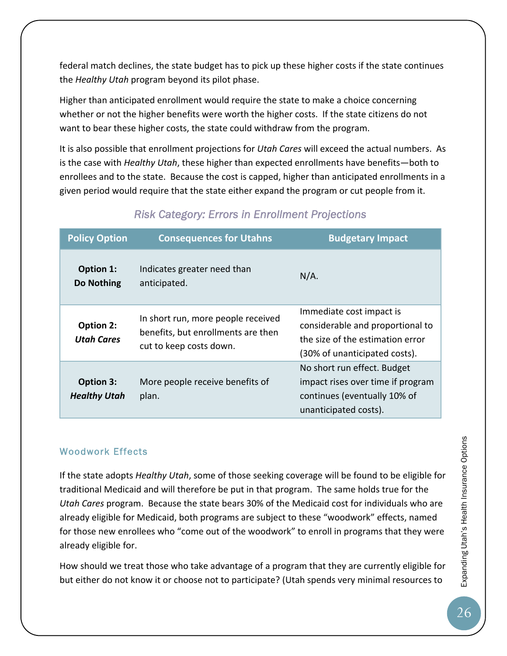federal match declines, the state budget has to pick up these higher costs if the state continues the *Healthy Utah* program beyond its pilot phase.

Higher than anticipated enrollment would require the state to make a choice concerning whether or not the higher benefits were worth the higher costs. If the state citizens do not want to bear these higher costs, the state could withdraw from the program.

It is also possible that enrollment projections for *Utah Cares* will exceed the actual numbers. As is the case with *Healthy Utah*, these higher than expected enrollments have benefits—both to enrollees and to the state. Because the cost is capped, higher than anticipated enrollments in a given period would require that the state either expand the program or cut people from it.

| <b>Policy Option</b>             | <b>Consequences for Utahns</b>                                                                      | <b>Budgetary Impact</b>                                                                                                           |  |
|----------------------------------|-----------------------------------------------------------------------------------------------------|-----------------------------------------------------------------------------------------------------------------------------------|--|
| Option 1:<br>Do Nothing          | Indicates greater need than<br>anticipated.                                                         | $N/A$ .                                                                                                                           |  |
| Option 2:<br><b>Utah Cares</b>   | In short run, more people received<br>benefits, but enrollments are then<br>cut to keep costs down. | Immediate cost impact is<br>considerable and proportional to<br>the size of the estimation error<br>(30% of unanticipated costs). |  |
| Option 3:<br><b>Healthy Utah</b> | More people receive benefits of<br>plan.                                                            | No short run effect. Budget<br>impact rises over time if program<br>continues (eventually 10% of<br>unanticipated costs).         |  |

# *Risk Category: Errors in Enrollment Projections*

#### Woodwork Effects

If the state adopts *Healthy Utah*, some of those seeking coverage will be found to be eligible for traditional Medicaid and will therefore be put in that program. The same holds true for the *Utah Cares* program. Because the state bears 30% of the Medicaid cost for individuals who are already eligible for Medicaid, both programs are subject to these "woodwork" effects, named for those new enrollees who "come out of the woodwork" to enroll in programs that they were already eligible for.

How should we treat those who take advantage of a program that they are currently eligible for but either do not know it or choose not to participate? (Utah spends very minimal resources to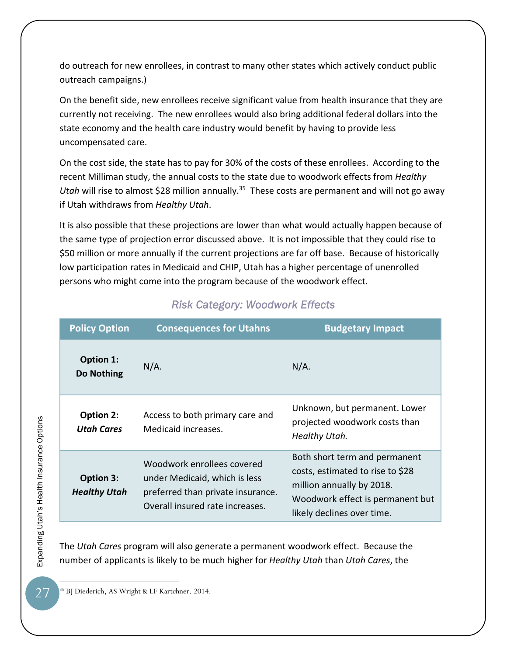do outreach for new enrollees, in contrast to many other states which actively conduct public outreach campaigns.)

On the benefit side, new enrollees receive significant value from health insurance that they are currently not receiving. The new enrollees would also bring additional federal dollars into the state economy and the health care industry would benefit by having to provide less uncompensated care.

On the cost side, the state has to pay for 30% of the costs of these enrollees. According to the recent Milliman study, the annual costs to the state due to woodwork effects from *Healthy Utah* will rise to almost \$28 million annually.<sup>35</sup> These costs are permanent and will not go away if Utah withdraws from *Healthy Utah*.

It is also possible that these projections are lower than what would actually happen because of the same type of projection error discussed above. It is not impossible that they could rise to \$50 million or more annually if the current projections are far off base. Because of historically low participation rates in Medicaid and CHIP, Utah has a higher percentage of unenrolled persons who might come into the program because of the woodwork effect.

| <b>Policy Option</b>             | <b>Consequences for Utahns</b>                                                                                                      | <b>Budgetary Impact</b>                                                                                                                                          |
|----------------------------------|-------------------------------------------------------------------------------------------------------------------------------------|------------------------------------------------------------------------------------------------------------------------------------------------------------------|
| Option 1:<br><b>Do Nothing</b>   | $N/A$ .                                                                                                                             | $N/A$ .                                                                                                                                                          |
| Option 2:<br><b>Utah Cares</b>   | Access to both primary care and<br>Medicaid increases.                                                                              | Unknown, but permanent. Lower<br>projected woodwork costs than<br>Healthy Utah.                                                                                  |
| Option 3:<br><b>Healthy Utah</b> | Woodwork enrollees covered<br>under Medicaid, which is less<br>preferred than private insurance.<br>Overall insured rate increases. | Both short term and permanent<br>costs, estimated to rise to \$28<br>million annually by 2018.<br>Woodwork effect is permanent but<br>likely declines over time. |

# *Risk Category: Woodwork Effects*

The *Utah Cares* program will also generate a permanent woodwork effect. Because the number of applicants is likely to be much higher for *Healthy Utah* than *Utah Cares*, the

Expanding Utah's Health Insurance Options<br>
>> Expanding Utah's Health Insurance Options

27

 $\overline{a}$ 35 BJ Diederich, AS Wright & LF Kartchner. 2014.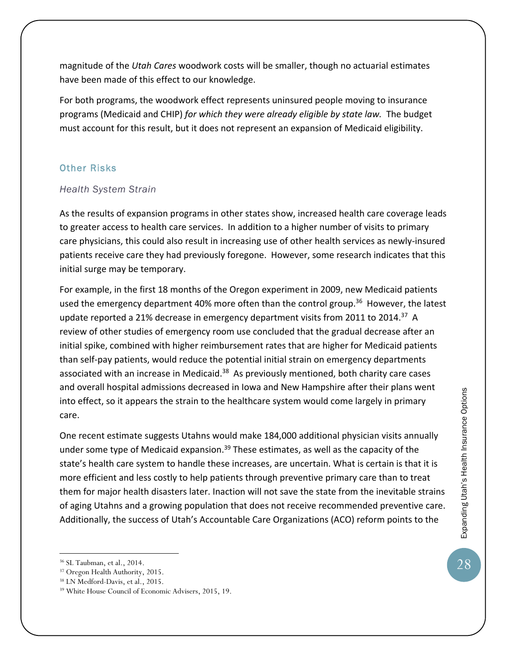magnitude of the *Utah Cares* woodwork costs will be smaller, though no actuarial estimates have been made of this effect to our knowledge.

For both programs, the woodwork effect represents uninsured people moving to insurance programs (Medicaid and CHIP) *for which they were already eligible by state law.* The budget must account for this result, but it does not represent an expansion of Medicaid eligibility.

#### Other Risks

#### *Health System Strain*

As the results of expansion programs in other states show, increased health care coverage leads to greater access to health care services. In addition to a higher number of visits to primary care physicians, this could also result in increasing use of other health services as newly‐insured patients receive care they had previously foregone. However, some research indicates that this initial surge may be temporary.

For example, in the first 18 months of the Oregon experiment in 2009, new Medicaid patients used the emergency department 40% more often than the control group.<sup>36</sup> However, the latest update reported a 21% decrease in emergency department visits from 2011 to 2014.<sup>37</sup> A review of other studies of emergency room use concluded that the gradual decrease after an initial spike, combined with higher reimbursement rates that are higher for Medicaid patients than self‐pay patients, would reduce the potential initial strain on emergency departments associated with an increase in Medicaid.<sup>38</sup> As previously mentioned, both charity care cases and overall hospital admissions decreased in Iowa and New Hampshire after their plans went into effect, so it appears the strain to the healthcare system would come largely in primary care.

One recent estimate suggests Utahns would make 184,000 additional physician visits annually under some type of Medicaid expansion.<sup>39</sup> These estimates, as well as the capacity of the state's health care system to handle these increases, are uncertain. What is certain is that it is more efficient and less costly to help patients through preventive primary care than to treat them for major health disasters later. Inaction will not save the state from the inevitable strains of aging Utahns and a growing population that does not receive recommended preventive care. Additionally, the success of Utah's Accountable Care Organizations (ACO) reform points to the

 $\overline{a}$ 

28

<sup>36</sup> SL Taubman, et al., 2014.

<sup>37</sup> Oregon Health Authority, 2015.

<sup>38</sup> LN Medford-Davis, et al., 2015.

<sup>39</sup> White House Council of Economic Advisers, 2015, 19.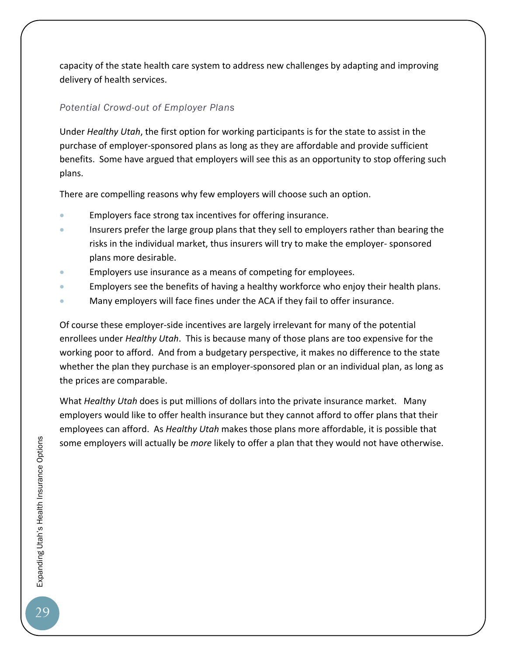capacity of the state health care system to address new challenges by adapting and improving delivery of health services.

#### *Potential Crowd-out of Employer Plans*

Under *Healthy Utah*, the first option for working participants is for the state to assist in the purchase of employer‐sponsored plans as long as they are affordable and provide sufficient benefits. Some have argued that employers will see this as an opportunity to stop offering such plans.

There are compelling reasons why few employers will choose such an option.

- Employers face strong tax incentives for offering insurance.
- Insurers prefer the large group plans that they sell to employers rather than bearing the risks in the individual market, thus insurers will try to make the employer‐ sponsored plans more desirable.
- Employers use insurance as a means of competing for employees.
- Employers see the benefits of having a healthy workforce who enjoy their health plans.
- Many employers will face fines under the ACA if they fail to offer insurance.

Of course these employer‐side incentives are largely irrelevant for many of the potential enrollees under *Healthy Utah*. This is because many of those plans are too expensive for the working poor to afford. And from a budgetary perspective, it makes no difference to the state whether the plan they purchase is an employer-sponsored plan or an individual plan, as long as the prices are comparable.

What *Healthy Utah* does is put millions of dollars into the private insurance market. Many employers would like to offer health insurance but they cannot afford to offer plans that their employees can afford. As *Healthy Utah* makes those plans more affordable, it is possible that some employers will actually be *more* likely to offer a plan that they would not have otherwise.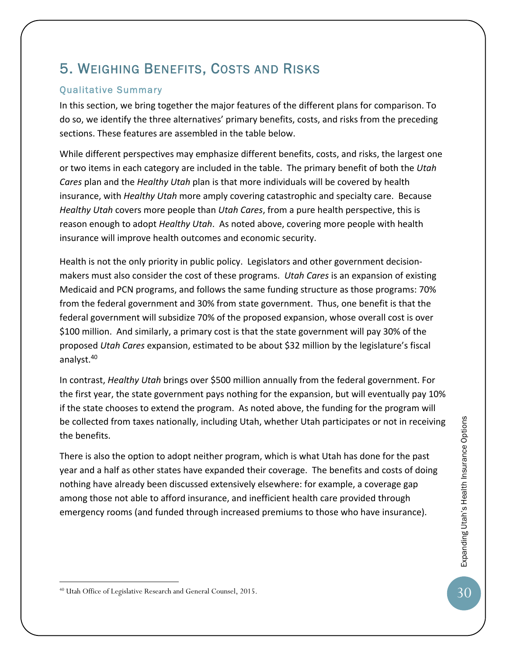# 5. WEIGHING BENEFITS, COSTS AND RISKS

#### Qualitative Summary

In this section, we bring together the major features of the different plans for comparison. To do so, we identify the three alternatives' primary benefits, costs, and risks from the preceding sections. These features are assembled in the table below.

While different perspectives may emphasize different benefits, costs, and risks, the largest one or two items in each category are included in the table. The primary benefit of both the *Utah Cares* plan and the *Healthy Utah* plan is that more individuals will be covered by health insurance, with *Healthy Utah* more amply covering catastrophic and specialty care. Because *Healthy Utah* covers more people than *Utah Cares*, from a pure health perspective, this is reason enough to adopt *Healthy Utah*. As noted above, covering more people with health insurance will improve health outcomes and economic security.

Health is not the only priority in public policy. Legislators and other government decision‐ makers must also consider the cost of these programs. *Utah Cares* is an expansion of existing Medicaid and PCN programs, and follows the same funding structure as those programs: 70% from the federal government and 30% from state government. Thus, one benefit is that the federal government will subsidize 70% of the proposed expansion, whose overall cost is over \$100 million. And similarly, a primary cost is that the state government will pay 30% of the proposed *Utah Cares* expansion, estimated to be about \$32 million by the legislature's fiscal analyst.<sup>40</sup>

In contrast, *Healthy Utah* brings over \$500 million annually from the federal government. For the first year, the state government pays nothing for the expansion, but will eventually pay 10% if the state chooses to extend the program. As noted above, the funding for the program will be collected from taxes nationally, including Utah, whether Utah participates or not in receiving the benefits.

There is also the option to adopt neither program, which is what Utah has done for the past year and a half as other states have expanded their coverage. The benefits and costs of doing nothing have already been discussed extensively elsewhere: for example, a coverage gap among those not able to afford insurance, and inefficient health care provided through emergency rooms (and funded through increased premiums to those who have insurance).

<sup>40</sup> Utah Office of Legislative Research and General Counsel, 2015.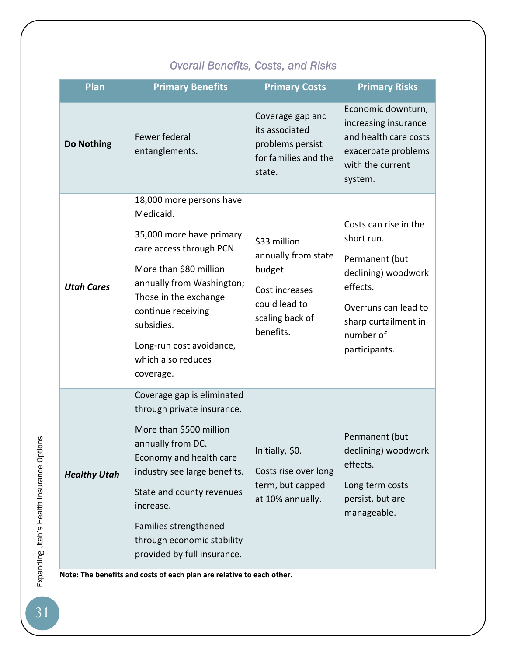# *Overall Benefits, Costs, and Risks*

| <b>Plan</b>         | <b>Primary Benefits</b>                                                                                                                                                                                                                                                                             | <b>Primary Costs</b>                                                                                              | <b>Primary Risks</b>                                                                                                                                                   |
|---------------------|-----------------------------------------------------------------------------------------------------------------------------------------------------------------------------------------------------------------------------------------------------------------------------------------------------|-------------------------------------------------------------------------------------------------------------------|------------------------------------------------------------------------------------------------------------------------------------------------------------------------|
| Do Nothing          | Fewer federal<br>entanglements.                                                                                                                                                                                                                                                                     | Coverage gap and<br>its associated<br>problems persist<br>for families and the<br>state.                          | Economic downturn,<br>increasing insurance<br>and health care costs<br>exacerbate problems<br>with the current<br>system.                                              |
| <b>Utah Cares</b>   | 18,000 more persons have<br>Medicaid.<br>35,000 more have primary<br>care access through PCN<br>More than \$80 million<br>annually from Washington;<br>Those in the exchange<br>continue receiving<br>subsidies.<br>Long-run cost avoidance,<br>which also reduces<br>coverage.                     | \$33 million<br>annually from state<br>budget.<br>Cost increases<br>could lead to<br>scaling back of<br>benefits. | Costs can rise in the<br>short run.<br>Permanent (but<br>declining) woodwork<br>effects.<br>Overruns can lead to<br>sharp curtailment in<br>number of<br>participants. |
| <b>Healthy Utah</b> | Coverage gap is eliminated<br>through private insurance.<br>More than \$500 million<br>annually from DC.<br>Economy and health care<br>industry see large benefits.<br>State and county revenues<br>increase.<br>Families strengthened<br>through economic stability<br>provided by full insurance. | Initially, \$0.<br>Costs rise over long<br>term, but capped<br>at 10% annually.                                   | Permanent (but<br>declining) woodwork<br>effects.<br>Long term costs<br>persist, but are<br>manageable.                                                                |

**Note: The benefits and costs of each plan are relative to each other.**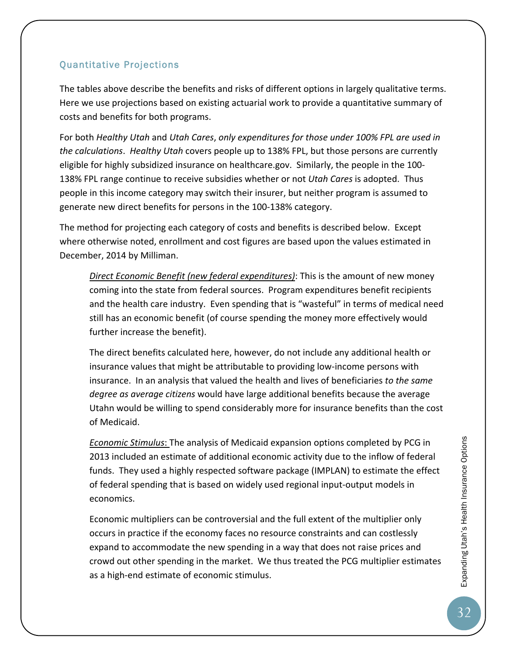#### Quantitative Projections

The tables above describe the benefits and risks of different options in largely qualitative terms. Here we use projections based on existing actuarial work to provide a quantitative summary of costs and benefits for both programs.

For both *Healthy Utah* and *Utah Cares*, *only expenditures for those under 100% FPL are used in the calculations*. *Healthy Utah* covers people up to 138% FPL, but those persons are currently eligible for highly subsidized insurance on healthcare.gov. Similarly, the people in the 100‐ 138% FPL range continue to receive subsidies whether or not *Utah Cares* is adopted. Thus people in this income category may switch their insurer, but neither program is assumed to generate new direct benefits for persons in the 100‐138% category.

The method for projecting each category of costs and benefits is described below. Except where otherwise noted, enrollment and cost figures are based upon the values estimated in December, 2014 by Milliman.

*Direct Economic Benefit (new federal expenditures)*: This is the amount of new money coming into the state from federal sources. Program expenditures benefit recipients and the health care industry. Even spending that is "wasteful" in terms of medical need still has an economic benefit (of course spending the money more effectively would further increase the benefit).

The direct benefits calculated here, however, do not include any additional health or insurance values that might be attributable to providing low‐income persons with insurance. In an analysis that valued the health and lives of beneficiaries *to the same degree as average citizens* would have large additional benefits because the average Utahn would be willing to spend considerably more for insurance benefits than the cost of Medicaid.

*Economic Stimulus*: The analysis of Medicaid expansion options completed by PCG in 2013 included an estimate of additional economic activity due to the inflow of federal funds. They used a highly respected software package (IMPLAN) to estimate the effect of federal spending that is based on widely used regional input‐output models in economics.

Economic multipliers can be controversial and the full extent of the multiplier only occurs in practice if the economy faces no resource constraints and can costlessly expand to accommodate the new spending in a way that does not raise prices and crowd out other spending in the market. We thus treated the PCG multiplier estimates as a high‐end estimate of economic stimulus.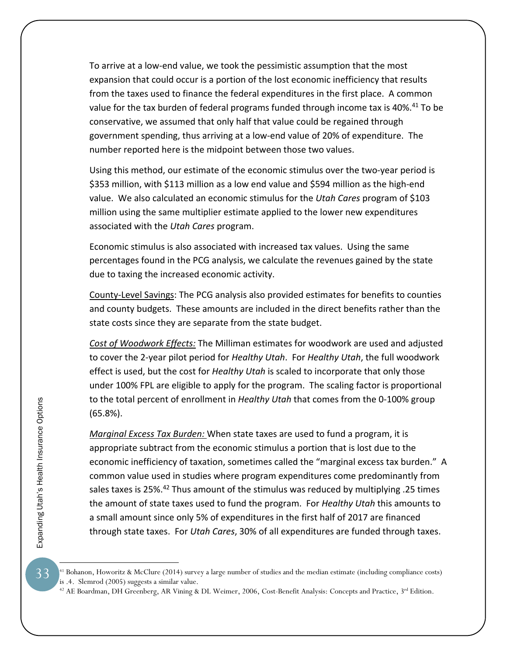To arrive at a low‐end value, we took the pessimistic assumption that the most expansion that could occur is a portion of the lost economic inefficiency that results from the taxes used to finance the federal expenditures in the first place. A common value for the tax burden of federal programs funded through income tax is 40%.<sup>41</sup> To be conservative, we assumed that only half that value could be regained through government spending, thus arriving at a low‐end value of 20% of expenditure. The number reported here is the midpoint between those two values.

Using this method, our estimate of the economic stimulus over the two‐year period is \$353 million, with \$113 million as a low end value and \$594 million as the high-end value. We also calculated an economic stimulus for the *Utah Cares* program of \$103 million using the same multiplier estimate applied to the lower new expenditures associated with the *Utah Cares* program.

Economic stimulus is also associated with increased tax values. Using the same percentages found in the PCG analysis, we calculate the revenues gained by the state due to taxing the increased economic activity.

County‐Level Savings: The PCG analysis also provided estimates for benefits to counties and county budgets. These amounts are included in the direct benefits rather than the state costs since they are separate from the state budget.

*Cost of Woodwork Effects:* The Milliman estimates for woodwork are used and adjusted to cover the 2‐year pilot period for *Healthy Utah*. For *Healthy Utah*, the full woodwork effect is used, but the cost for *Healthy Utah* is scaled to incorporate that only those under 100% FPL are eligible to apply for the program. The scaling factor is proportional to the total percent of enrollment in *Healthy Utah* that comes from the 0‐100% group (65.8%).

*Marginal Excess Tax Burden:* When state taxes are used to fund a program, it is appropriate subtract from the economic stimulus a portion that is lost due to the economic inefficiency of taxation, sometimes called the "marginal excess tax burden." A common value used in studies where program expenditures come predominantly from sales taxes is 25%.42 Thus amount of the stimulus was reduced by multiplying .25 times the amount of state taxes used to fund the program. For *Healthy Utah* this amounts to a small amount since only 5% of expenditures in the first half of 2017 are financed through state taxes. For *Utah Cares*, 30% of all expenditures are funded through taxes.

 $\overline{a}$ 

33

<sup>&</sup>lt;sup>41</sup> Bohanon, Howoritz & McClure (2014) survey a large number of studies and the median estimate (including compliance costs) is .4. Slemrod (2005) suggests a similar value.

<sup>&</sup>lt;sup>42</sup> AE Boardman, DH Greenberg, AR Vining & DL Weimer, 2006, Cost-Benefit Analysis: Concepts and Practice, 3<sup>rd</sup> Edition.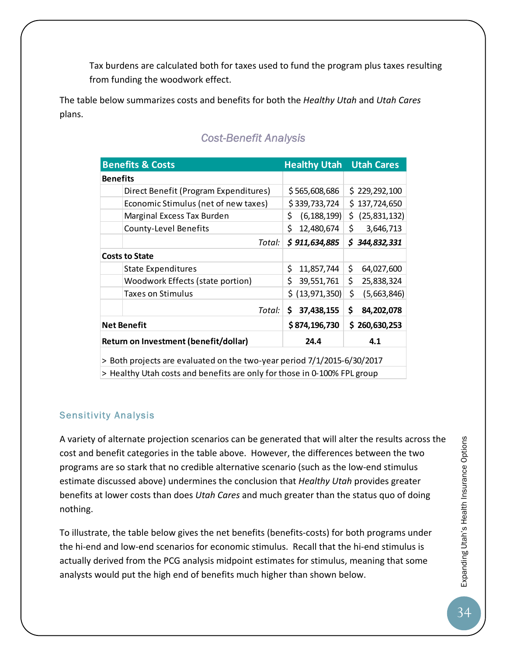Tax burdens are calculated both for taxes used to fund the program plus taxes resulting from funding the woodwork effect.

The table below summarizes costs and benefits for both the *Healthy Utah* and *Utah Cares* plans.

| <b>Benefits &amp; Costs</b>                                              | <b>Healthy Utah</b> | <b>Utah Cares</b> |  |
|--------------------------------------------------------------------------|---------------------|-------------------|--|
| <b>Benefits</b>                                                          |                     |                   |  |
| Direct Benefit (Program Expenditures)                                    | \$565,608,686       | \$229,292,100     |  |
| Economic Stimulus (net of new taxes)                                     | \$339,733,724       | \$137,724,650     |  |
| Marginal Excess Tax Burden                                               | \$<br>(6, 188, 199) | \$ (25,831,132)   |  |
| County-Level Benefits                                                    | \$<br>12,480,674    | \$.<br>3,646,713  |  |
| Total:                                                                   | \$911,634,885       | \$344,832,331     |  |
| <b>Costs to State</b>                                                    |                     |                   |  |
| <b>State Expenditures</b>                                                | \$<br>11,857,744    | \$.<br>64,027,600 |  |
| Woodwork Effects (state portion)                                         | \$<br>39,551,761    | \$.<br>25,838,324 |  |
| <b>Taxes on Stimulus</b>                                                 | \$ (13,971,350)     | \$<br>(5,663,846) |  |
| Total:                                                                   | \$.<br>37,438,155   | \$<br>84,202,078  |  |
| <b>Net Benefit</b>                                                       | \$874,196,730       | \$260,630,253     |  |
| Return on Investment (benefit/dollar)                                    | 24.4                | 4.1               |  |
| > Both projects are evaluated on the two-year period 7/1/2015-6/30/2017  |                     |                   |  |
| > Healthy Utah costs and benefits are only for those in 0-100% FPL group |                     |                   |  |

### *Cost-Benefit Analysis*

#### Sensitivity Analysis

A variety of alternate projection scenarios can be generated that will alter the results across the cost and benefit categories in the table above. However, the differences between the two programs are so stark that no credible alternative scenario (such as the low‐end stimulus estimate discussed above) undermines the conclusion that *Healthy Utah* provides greater benefits at lower costs than does *Utah Cares* and much greater than the status quo of doing nothing.

To illustrate, the table below gives the net benefits (benefits‐costs) for both programs under the hi-end and low-end scenarios for economic stimulus. Recall that the hi-end stimulus is actually derived from the PCG analysis midpoint estimates for stimulus, meaning that some analysts would put the high end of benefits much higher than shown below.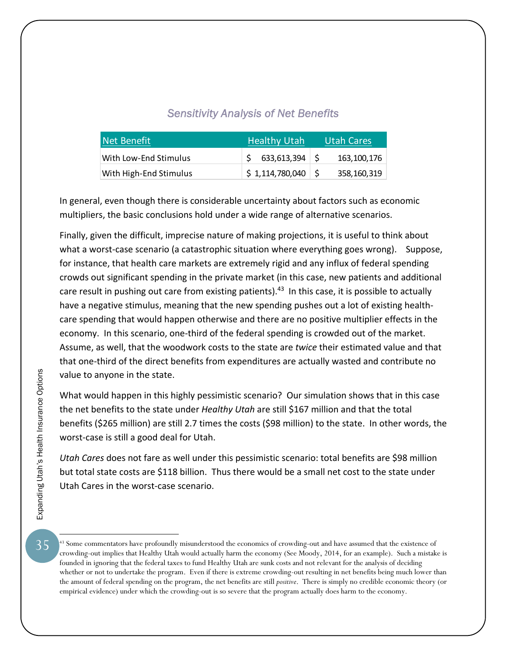#### *Sensitivity Analysis of Net Benefits*

| Net Benefit            | <b>Healthy Utah</b>                         | <b>Utah Cares</b> |
|------------------------|---------------------------------------------|-------------------|
| With Low-End Stimulus  | $$633,613,394$ $$$                          | 163.100.176       |
| With High-End Stimulus | $\frac{1}{2}$ \$1,114,780,040 $\frac{1}{2}$ | 358,160,319       |

In general, even though there is considerable uncertainty about factors such as economic multipliers, the basic conclusions hold under a wide range of alternative scenarios.

Finally, given the difficult, imprecise nature of making projections, it is useful to think about what a worst-case scenario (a catastrophic situation where everything goes wrong). Suppose, for instance, that health care markets are extremely rigid and any influx of federal spending crowds out significant spending in the private market (in this case, new patients and additional care result in pushing out care from existing patients).<sup>43</sup> In this case, it is possible to actually have a negative stimulus, meaning that the new spending pushes out a lot of existing healthcare spending that would happen otherwise and there are no positive multiplier effects in the economy. In this scenario, one‐third of the federal spending is crowded out of the market. Assume, as well, that the woodwork costs to the state are *twice* their estimated value and that that one‐third of the direct benefits from expenditures are actually wasted and contribute no value to anyone in the state.

What would happen in this highly pessimistic scenario? Our simulation shows that in this case the net benefits to the state under *Healthy Utah* are still \$167 million and that the total benefits (\$265 million) are still 2.7 times the costs (\$98 million) to the state. In other words, the worst‐case is still a good deal for Utah.

*Utah Cares* does not fare as well under this pessimistic scenario: total benefits are \$98 million but total state costs are \$118 billion. Thus there would be a small net cost to the state under Utah Cares in the worst‐case scenario.

<sup>&</sup>lt;sup>43</sup> Some commentators have profoundly misunderstood the economics of crowding-out and have assumed that the existence of crowding-out implies that Healthy Utah would actually harm the economy (See Moody, 2014, for an example). Such a mistake is founded in ignoring that the federal taxes to fund Healthy Utah are sunk costs and not relevant for the analysis of deciding whether or not to undertake the program. Even if there is extreme crowding-out resulting in net benefits being much lower than the amount of federal spending on the program, the net benefits are still *positive*. There is simply no credible economic theory (or empirical evidence) under which the crowding-out is so severe that the program actually does harm to the economy.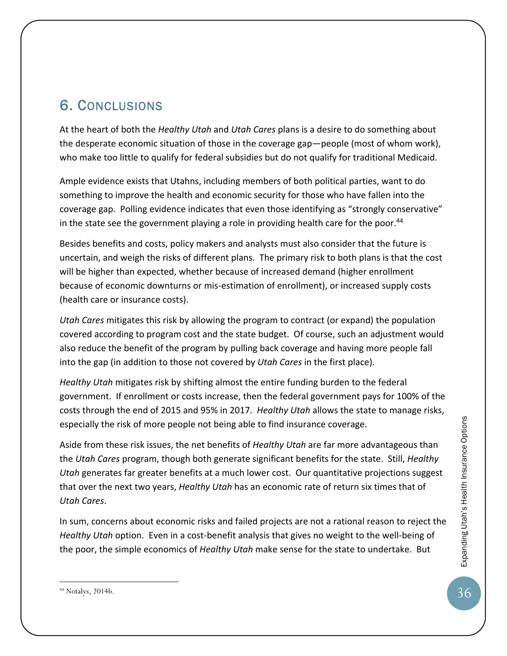# 6. CONCLUSIONS

At the heart of both the *Healthy Utah* and *Utah Cares* plans is a desire to do something about the desperate economic situation of those in the coverage gap—people (most of whom work), who make too little to qualify for federal subsidies but do not qualify for traditional Medicaid.

Ample evidence exists that Utahns, including members of both political parties, want to do something to improve the health and economic security for those who have fallen into the coverage gap. Polling evidence indicates that even those identifying as "strongly conservative" in the state see the government playing a role in providing health care for the poor. $44$ 

Besides benefits and costs, policy makers and analysts must also consider that the future is uncertain, and weigh the risks of different plans. The primary risk to both plans is that the cost will be higher than expected, whether because of increased demand (higher enrollment because of economic downturns or mis‐estimation of enrollment), or increased supply costs (health care or insurance costs).

*Utah Cares* mitigates this risk by allowing the program to contract (or expand) the population covered according to program cost and the state budget. Of course, such an adjustment would also reduce the benefit of the program by pulling back coverage and having more people fall into the gap (in addition to those not covered by *Utah Cares* in the first place).

*Healthy Utah* mitigates risk by shifting almost the entire funding burden to the federal government. If enrollment or costs increase, then the federal government pays for 100% of the costs through the end of 2015 and 95% in 2017. *Healthy Utah* allows the state to manage risks, especially the risk of more people not being able to find insurance coverage.

Aside from these risk issues, the net benefits of *Healthy Utah* are far more advantageous than the *Utah Cares* program, though both generate significant benefits for the state. Still, *Healthy Utah* generates far greater benefits at a much lower cost. Our quantitative projections suggest that over the next two years, *Healthy Utah* has an economic rate of return six times that of *Utah Cares*.

In sum, concerns about economic risks and failed projects are not a rational reason to reject the *Healthy Utah* option. Even in a cost‐benefit analysis that gives no weight to the well‐being of the poor, the simple economics of *Healthy Utah* make sense for the state to undertake. But

<sup>44</sup> Notalys, 2014b.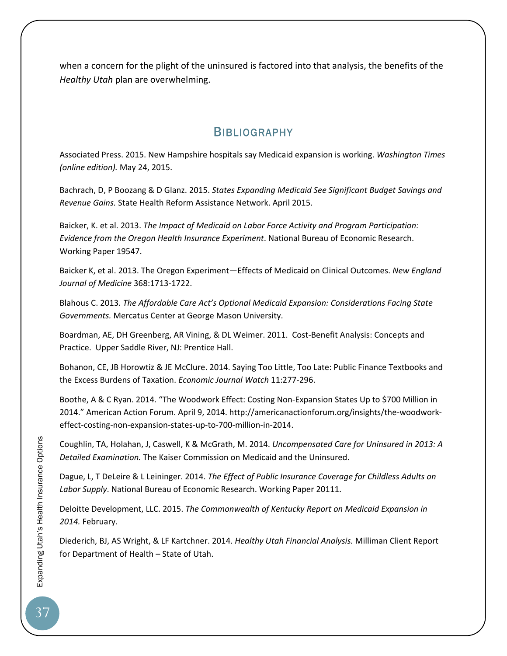when a concern for the plight of the uninsured is factored into that analysis, the benefits of the *Healthy Utah* plan are overwhelming.

## **BIBLIOGRAPHY**

Associated Press. 2015. New Hampshire hospitals say Medicaid expansion is working. *Washington Times (online edition).* May 24, 2015.

Bachrach, D, P Boozang & D Glanz. 2015. *States Expanding Medicaid See Significant Budget Savings and Revenue Gains.* State Health Reform Assistance Network. April 2015.

Baicker, K. et al. 2013. *The Impact of Medicaid on Labor Force Activity and Program Participation: Evidence from the Oregon Health Insurance Experiment*. National Bureau of Economic Research. Working Paper 19547.

Baicker K, et al. 2013. The Oregon Experiment—Effects of Medicaid on Clinical Outcomes. *New England Journal of Medicine* 368:1713‐1722.

Blahous C. 2013. *The Affordable Care Act's Optional Medicaid Expansion: Considerations Facing State Governments.* Mercatus Center at George Mason University.

Boardman, AE, DH Greenberg, AR Vining, & DL Weimer. 2011. Cost-Benefit Analysis: Concepts and Practice. Upper Saddle River, NJ: Prentice Hall.

Bohanon, CE, JB Horowtiz & JE McClure. 2014. Saying Too Little, Too Late: Public Finance Textbooks and the Excess Burdens of Taxation. *Economic Journal Watch* 11:277‐296.

Boothe, A & C Ryan. 2014. "The Woodwork Effect: Costing Non‐Expansion States Up to \$700 Million in 2014." American Action Forum. April 9, 2014. http://americanactionforum.org/insights/the‐woodwork‐ effect-costing-non-expansion-states-up-to-700-million-in-2014.

Coughlin, TA, Holahan, J, Caswell, K & McGrath, M. 2014. *Uncompensated Care for Uninsured in 2013: A Detailed Examination.* The Kaiser Commission on Medicaid and the Uninsured.

Dague, L, T DeLeire & L Leininger. 2014. *The Effect of Public Insurance Coverage for Childless Adults on Labor Supply*. National Bureau of Economic Research. Working Paper 20111.

Deloitte Development, LLC. 2015. *The Commonwealth of Kentucky Report on Medicaid Expansion in 2014.* February.

Diederich, BJ, AS Wright, & LF Kartchner. 2014. *Healthy Utah Financial Analysis.* Milliman Client Report for Department of Health – State of Utah.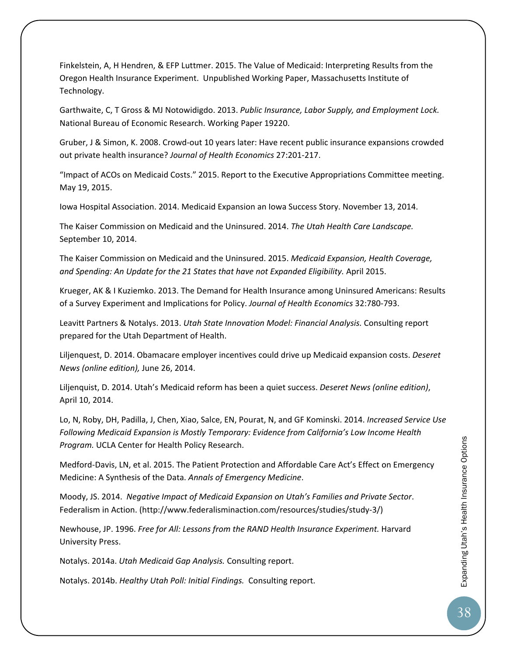Finkelstein, A, H Hendren, & EFP Luttmer. 2015. The Value of Medicaid: Interpreting Results from the Oregon Health Insurance Experiment. Unpublished Working Paper, Massachusetts Institute of Technology.

Garthwaite, C, T Gross & MJ Notowidigdo. 2013. *Public Insurance, Labor Supply, and Employment Lock.* National Bureau of Economic Research. Working Paper 19220.

Gruber, J & Simon, K. 2008. Crowd‐out 10 years later: Have recent public insurance expansions crowded out private health insurance? *Journal of Health Economics* 27:201‐217.

"Impact of ACOs on Medicaid Costs." 2015. Report to the Executive Appropriations Committee meeting. May 19, 2015.

Iowa Hospital Association. 2014. Medicaid Expansion an Iowa Success Story. November 13, 2014.

The Kaiser Commission on Medicaid and the Uninsured. 2014. *The Utah Health Care Landscape.* September 10, 2014.

The Kaiser Commission on Medicaid and the Uninsured. 2015. *Medicaid Expansion, Health Coverage, and Spending: An Update for the 21 States that have not Expanded Eligibility.* April 2015.

Krueger, AK & I Kuziemko. 2013. The Demand for Health Insurance among Uninsured Americans: Results of a Survey Experiment and Implications for Policy. *Journal of Health Economics* 32:780‐793.

Leavitt Partners & Notalys. 2013. *Utah State Innovation Model: Financial Analysis.* Consulting report prepared for the Utah Department of Health.

Liljenquest, D. 2014. Obamacare employer incentives could drive up Medicaid expansion costs. *Deseret News (online edition),* June 26, 2014.

Liljenquist, D. 2014. Utah's Medicaid reform has been a quiet success. *Deseret News (online edition)*, April 10, 2014.

Lo, N, Roby, DH, Padilla, J, Chen, Xiao, Salce, EN, Pourat, N, and GF Kominski. 2014. *Increased Service Use Following Medicaid Expansion is Mostly Temporary: Evidence from California's Low Income Health Program.* UCLA Center for Health Policy Research.

Medford‐Davis, LN, et al. 2015. The Patient Protection and Affordable Care Act's Effect on Emergency Medicine: A Synthesis of the Data. *Annals of Emergency Medicine*.

Moody, JS. 2014. *Negative Impact of Medicaid Expansion on Utah's Families and Private Sector*. Federalism in Action. (http://www.federalisminaction.com/resources/studies/study‐3/)

Newhouse, JP. 1996. *Free for All: Lessons from the RAND Health Insurance Experiment.* Harvard University Press.

Notalys. 2014a. *Utah Medicaid Gap Analysis.* Consulting report.

Notalys. 2014b. *Healthy Utah Poll: Initial Findings.* Consulting report.